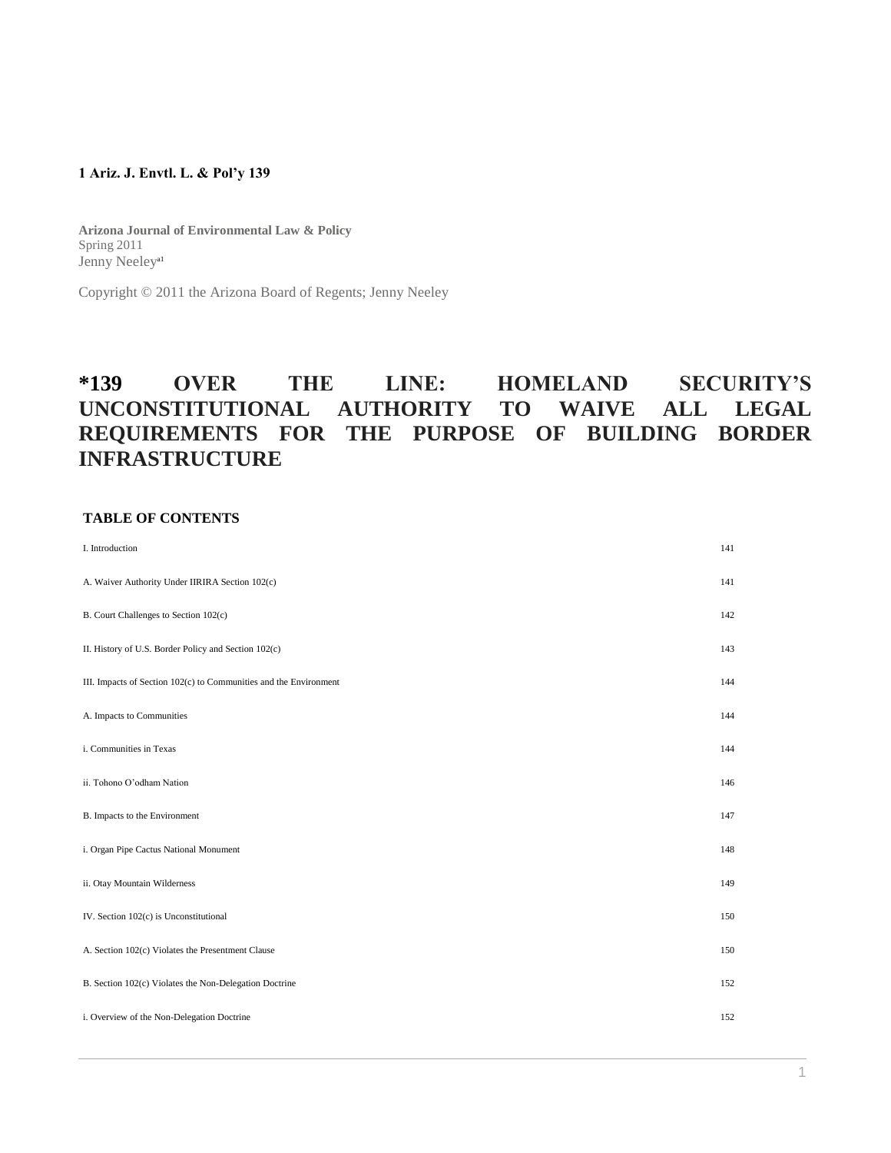## **1 Ariz. J. Envtl. L. & Pol'y 139**

**Arizona Journal of Environmental Law & Policy** Spring 2011 Jenny Neeley<sup>al</sup>

Copyright © 2011 the Arizona Board of Regents; Jenny Neeley

# **\*139 OVER THE LINE: HOMELAND SECURITY'S UNCONSTITUTIONAL AUTHORITY TO WAIVE ALL LEGAL REQUIREMENTS FOR THE PURPOSE OF BUILDING BORDER INFRASTRUCTURE**

#### **TABLE OF CONTENTS**

| I. Introduction                                                   | 141 |
|-------------------------------------------------------------------|-----|
| A. Waiver Authority Under IIRIRA Section 102(c)                   | 141 |
| B. Court Challenges to Section 102(c)                             | 142 |
| II. History of U.S. Border Policy and Section 102(c)              | 143 |
| III. Impacts of Section 102(c) to Communities and the Environment | 144 |
| A. Impacts to Communities                                         | 144 |
| i. Communities in Texas                                           | 144 |
| ii. Tohono O'odham Nation                                         | 146 |
| B. Impacts to the Environment                                     | 147 |
| i. Organ Pipe Cactus National Monument                            | 148 |
| ii. Otay Mountain Wilderness                                      | 149 |
| IV. Section 102(c) is Unconstitutional                            | 150 |
| A. Section 102(c) Violates the Presentment Clause                 | 150 |
| B. Section 102(c) Violates the Non-Delegation Doctrine            | 152 |
| i. Overview of the Non-Delegation Doctrine                        | 152 |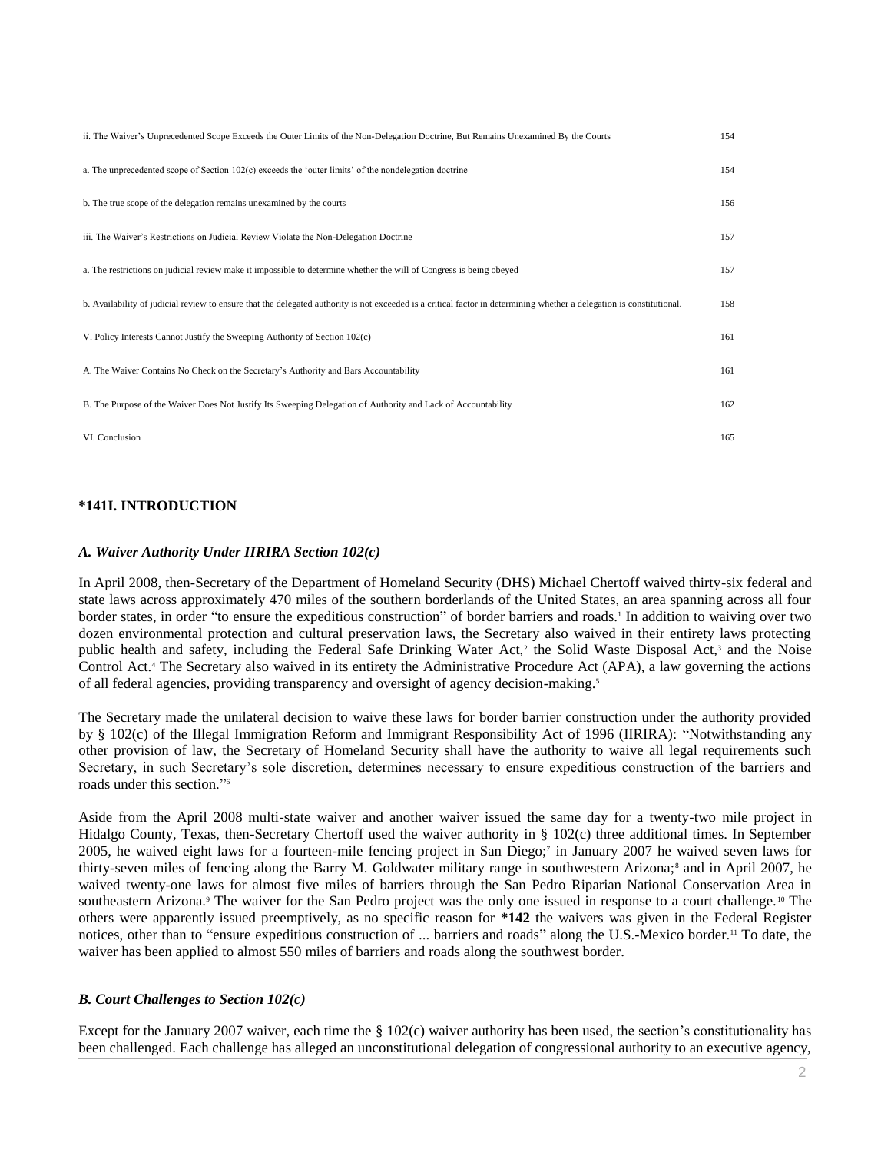| ii. The Waiver's Unprecedented Scope Exceeds the Outer Limits of the Non-Delegation Doctrine, But Remains Unexamined By the Courts                                    | 154 |
|-----------------------------------------------------------------------------------------------------------------------------------------------------------------------|-----|
| a. The unprecedented scope of Section $102(c)$ exceeds the 'outer limits' of the nondelegation doctrine                                                               | 154 |
| b. The true scope of the delegation remains unexamined by the courts                                                                                                  | 156 |
| iii. The Waiver's Restrictions on Judicial Review Violate the Non-Delegation Doctrine                                                                                 | 157 |
| a. The restrictions on judicial review make it impossible to determine whether the will of Congress is being obeyed                                                   | 157 |
| b. Availability of judicial review to ensure that the delegated authority is not exceeded is a critical factor in determining whether a delegation is constitutional. | 158 |
| V. Policy Interests Cannot Justify the Sweeping Authority of Section 102(c)                                                                                           | 161 |
| A. The Waiver Contains No Check on the Secretary's Authority and Bars Accountability                                                                                  | 161 |
| B. The Purpose of the Waiver Does Not Justify Its Sweeping Delegation of Authority and Lack of Accountability                                                         | 162 |
| VI. Conclusion                                                                                                                                                        | 165 |

# **\*141I. INTRODUCTION**

## *A. Waiver Authority Under IIRIRA Section 102(c)*

In April 2008, then-Secretary of the Department of Homeland Security (DHS) Michael Chertoff waived thirty-six federal and state laws across approximately 470 miles of the southern borderlands of the United States, an area spanning across all four border states, in order "to ensure the expeditious construction" of border barriers and roads.<sup>1</sup> In addition to waiving over two dozen environmental protection and cultural preservation laws, the Secretary also waived in their entirety laws protecting public health and safety, including the Federal Safe Drinking Water Act,<sup>2</sup> the Solid Waste Disposal Act,<sup>3</sup> and the Noise Control Act.<sup>4</sup> The Secretary also waived in its entirety the Administrative Procedure Act (APA), a law governing the actions of all federal agencies, providing transparency and oversight of agency decision-making.<sup>5</sup>

The Secretary made the unilateral decision to waive these laws for border barrier construction under the authority provided by § 102(c) of the Illegal Immigration Reform and Immigrant Responsibility Act of 1996 (IIRIRA): "Notwithstanding any other provision of law, the Secretary of Homeland Security shall have the authority to waive all legal requirements such Secretary, in such Secretary's sole discretion, determines necessary to ensure expeditious construction of the barriers and roads under this section." 6

Aside from the April 2008 multi-state waiver and another waiver issued the same day for a twenty-two mile project in Hidalgo County, Texas, then-Secretary Chertoff used the waiver authority in § 102(c) three additional times. In September 2005, he waived eight laws for a fourteen-mile fencing project in San Diego;<sup>7</sup> in January 2007 he waived seven laws for thirty-seven miles of fencing along the Barry M. Goldwater military range in southwestern Arizona;<sup>8</sup> and in April 2007, he waived twenty-one laws for almost five miles of barriers through the San Pedro Riparian National Conservation Area in southeastern Arizona.<sup>9</sup> The waiver for the San Pedro project was the only one issued in response to a court challenge.<sup>10</sup> The others were apparently issued preemptively, as no specific reason for **\*142** the waivers was given in the Federal Register notices, other than to "ensure expeditious construction of ... barriers and roads" along the U.S.-Mexico border.<sup>11</sup> To date, the waiver has been applied to almost 550 miles of barriers and roads along the southwest border.

## *B. Court Challenges to Section 102(c)*

Except for the January 2007 waiver, each time the § 102(c) waiver authority has been used, the section's constitutionality has been challenged. Each challenge has alleged an unconstitutional delegation of congressional authority to an executive agency,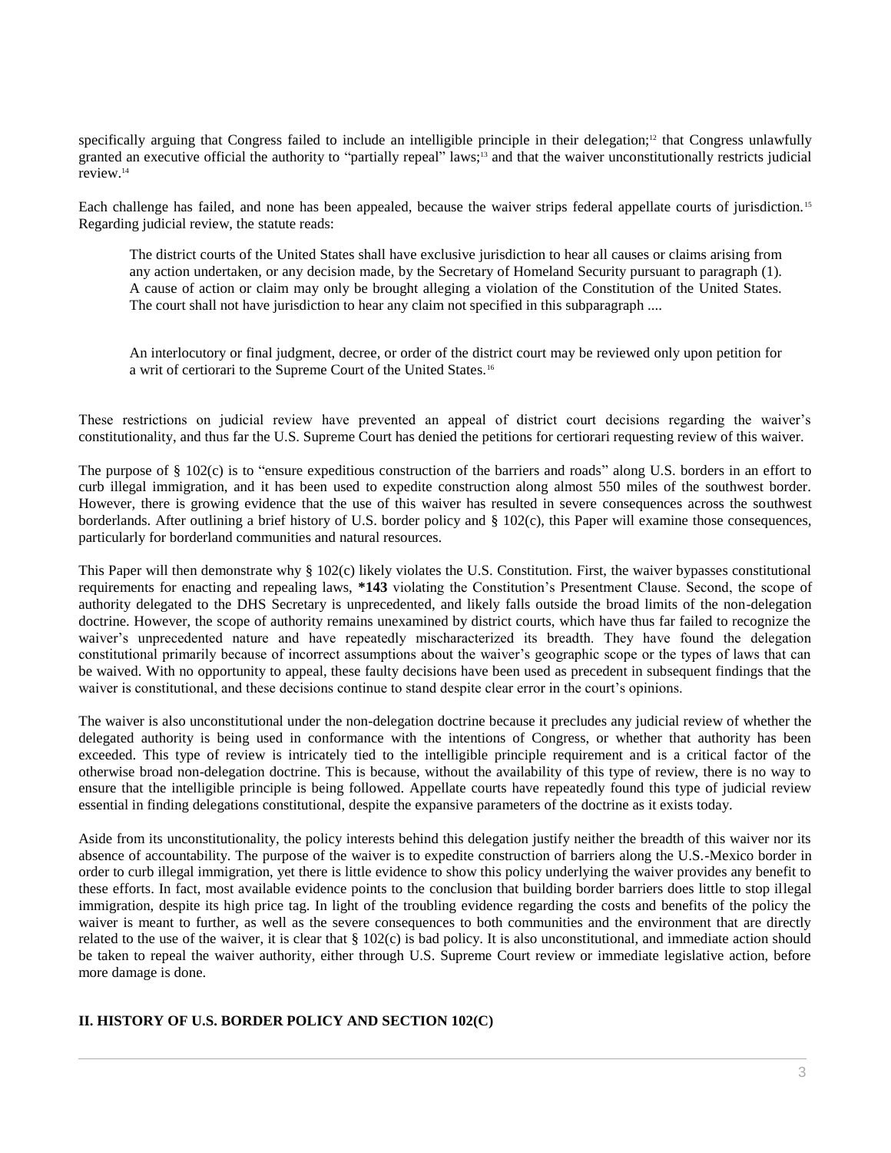specifically arguing that Congress failed to include an intelligible principle in their delegation;<sup>12</sup> that Congress unlawfully granted an executive official the authority to "partially repeal" laws;<sup>13</sup> and that the waiver unconstitutionally restricts judicial review.<sup>14</sup>

Each challenge has failed, and none has been appealed, because the waiver strips federal appellate courts of jurisdiction. <sup>15</sup> Regarding judicial review, the statute reads:

The district courts of the United States shall have exclusive jurisdiction to hear all causes or claims arising from any action undertaken, or any decision made, by the Secretary of Homeland Security pursuant to paragraph (1). A cause of action or claim may only be brought alleging a violation of the Constitution of the United States. The court shall not have jurisdiction to hear any claim not specified in this subparagraph ....

An interlocutory or final judgment, decree, or order of the district court may be reviewed only upon petition for a writ of certiorari to the Supreme Court of the United States.<sup>16</sup>

These restrictions on judicial review have prevented an appeal of district court decisions regarding the waiver's constitutionality, and thus far the U.S. Supreme Court has denied the petitions for certiorari requesting review of this waiver.

The purpose of § 102(c) is to "ensure expeditious construction of the barriers and roads" along U.S. borders in an effort to curb illegal immigration, and it has been used to expedite construction along almost 550 miles of the southwest border. However, there is growing evidence that the use of this waiver has resulted in severe consequences across the southwest borderlands. After outlining a brief history of U.S. border policy and § 102(c), this Paper will examine those consequences, particularly for borderland communities and natural resources.

This Paper will then demonstrate why § 102(c) likely violates the U.S. Constitution. First, the waiver bypasses constitutional requirements for enacting and repealing laws, **\*143** violating the Constitution's Presentment Clause. Second, the scope of authority delegated to the DHS Secretary is unprecedented, and likely falls outside the broad limits of the non-delegation doctrine. However, the scope of authority remains unexamined by district courts, which have thus far failed to recognize the waiver's unprecedented nature and have repeatedly mischaracterized its breadth. They have found the delegation constitutional primarily because of incorrect assumptions about the waiver's geographic scope or the types of laws that can be waived. With no opportunity to appeal, these faulty decisions have been used as precedent in subsequent findings that the waiver is constitutional, and these decisions continue to stand despite clear error in the court's opinions.

The waiver is also unconstitutional under the non-delegation doctrine because it precludes any judicial review of whether the delegated authority is being used in conformance with the intentions of Congress, or whether that authority has been exceeded. This type of review is intricately tied to the intelligible principle requirement and is a critical factor of the otherwise broad non-delegation doctrine. This is because, without the availability of this type of review, there is no way to ensure that the intelligible principle is being followed. Appellate courts have repeatedly found this type of judicial review essential in finding delegations constitutional, despite the expansive parameters of the doctrine as it exists today.

Aside from its unconstitutionality, the policy interests behind this delegation justify neither the breadth of this waiver nor its absence of accountability. The purpose of the waiver is to expedite construction of barriers along the U.S.-Mexico border in order to curb illegal immigration, yet there is little evidence to show this policy underlying the waiver provides any benefit to these efforts. In fact, most available evidence points to the conclusion that building border barriers does little to stop illegal immigration, despite its high price tag. In light of the troubling evidence regarding the costs and benefits of the policy the waiver is meant to further, as well as the severe consequences to both communities and the environment that are directly related to the use of the waiver, it is clear that § 102(c) is bad policy. It is also unconstitutional, and immediate action should be taken to repeal the waiver authority, either through U.S. Supreme Court review or immediate legislative action, before more damage is done.

# **II. HISTORY OF U.S. BORDER POLICY AND SECTION 102(C)**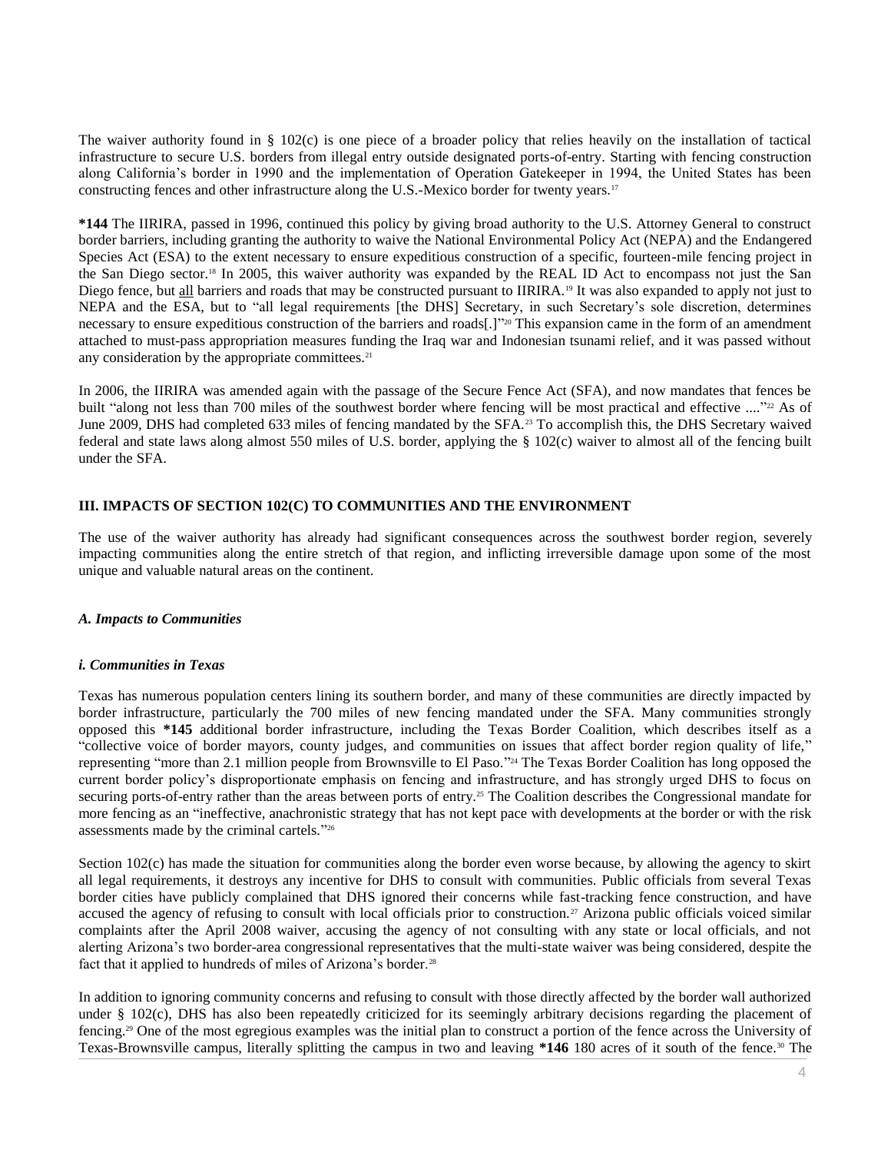The waiver authority found in § 102(c) is one piece of a broader policy that relies heavily on the installation of tactical infrastructure to secure U.S. borders from illegal entry outside designated ports-of-entry. Starting with fencing construction along California's border in 1990 and the implementation of Operation Gatekeeper in 1994, the United States has been constructing fences and other infrastructure along the U.S.-Mexico border for twenty years.<sup>17</sup>

**\*144** The IIRIRA, passed in 1996, continued this policy by giving broad authority to the U.S. Attorney General to construct border barriers, including granting the authority to waive the National Environmental Policy Act (NEPA) and the Endangered Species Act (ESA) to the extent necessary to ensure expeditious construction of a specific, fourteen-mile fencing project in the San Diego sector.<sup>18</sup> In 2005, this waiver authority was expanded by the REAL ID Act to encompass not just the San Diego fence, but all barriers and roads that may be constructed pursuant to IIRIRA.<sup>19</sup> It was also expanded to apply not just to NEPA and the ESA, but to "all legal requirements [the DHS] Secretary, in such Secretary's sole discretion, determines necessary to ensure expeditious construction of the barriers and roads[.]" <sup>20</sup> This expansion came in the form of an amendment attached to must-pass appropriation measures funding the Iraq war and Indonesian tsunami relief, and it was passed without any consideration by the appropriate committees.<sup>21</sup>

In 2006, the IIRIRA was amended again with the passage of the Secure Fence Act (SFA), and now mandates that fences be built "along not less than 700 miles of the southwest border where fencing will be most practical and effective ...."<sup>22</sup> As of June 2009, DHS had completed 633 miles of fencing mandated by the SFA.<sup>23</sup> To accomplish this, the DHS Secretary waived federal and state laws along almost 550 miles of U.S. border, applying the § 102(c) waiver to almost all of the fencing built under the SFA.

## **III. IMPACTS OF SECTION 102(C) TO COMMUNITIES AND THE ENVIRONMENT**

The use of the waiver authority has already had significant consequences across the southwest border region, severely impacting communities along the entire stretch of that region, and inflicting irreversible damage upon some of the most unique and valuable natural areas on the continent.

# *A. Impacts to Communities*

#### *i. Communities in Texas*

Texas has numerous population centers lining its southern border, and many of these communities are directly impacted by border infrastructure, particularly the 700 miles of new fencing mandated under the SFA. Many communities strongly opposed this **\*145** additional border infrastructure, including the Texas Border Coalition, which describes itself as a "collective voice of border mayors, county judges, and communities on issues that affect border region quality of life," representing "more than 2.1 million people from Brownsville to El Paso." <sup>24</sup> The Texas Border Coalition has long opposed the current border policy's disproportionate emphasis on fencing and infrastructure, and has strongly urged DHS to focus on securing ports-of-entry rather than the areas between ports of entry.<sup>25</sup> The Coalition describes the Congressional mandate for more fencing as an "ineffective, anachronistic strategy that has not kept pace with developments at the border or with the risk assessments made by the criminal cartels." 26

Section 102(c) has made the situation for communities along the border even worse because, by allowing the agency to skirt all legal requirements, it destroys any incentive for DHS to consult with communities. Public officials from several Texas border cities have publicly complained that DHS ignored their concerns while fast-tracking fence construction, and have accused the agency of refusing to consult with local officials prior to construction.<sup>27</sup> Arizona public officials voiced similar complaints after the April 2008 waiver, accusing the agency of not consulting with any state or local officials, and not alerting Arizona's two border-area congressional representatives that the multi-state waiver was being considered, despite the fact that it applied to hundreds of miles of Arizona's border.<sup>28</sup>

In addition to ignoring community concerns and refusing to consult with those directly affected by the border wall authorized under § 102(c), DHS has also been repeatedly criticized for its seemingly arbitrary decisions regarding the placement of fencing.<sup>29</sup> One of the most egregious examples was the initial plan to construct a portion of the fence across the University of Texas-Brownsville campus, literally splitting the campus in two and leaving **\*146** 180 acres of it south of the fence.<sup>30</sup> The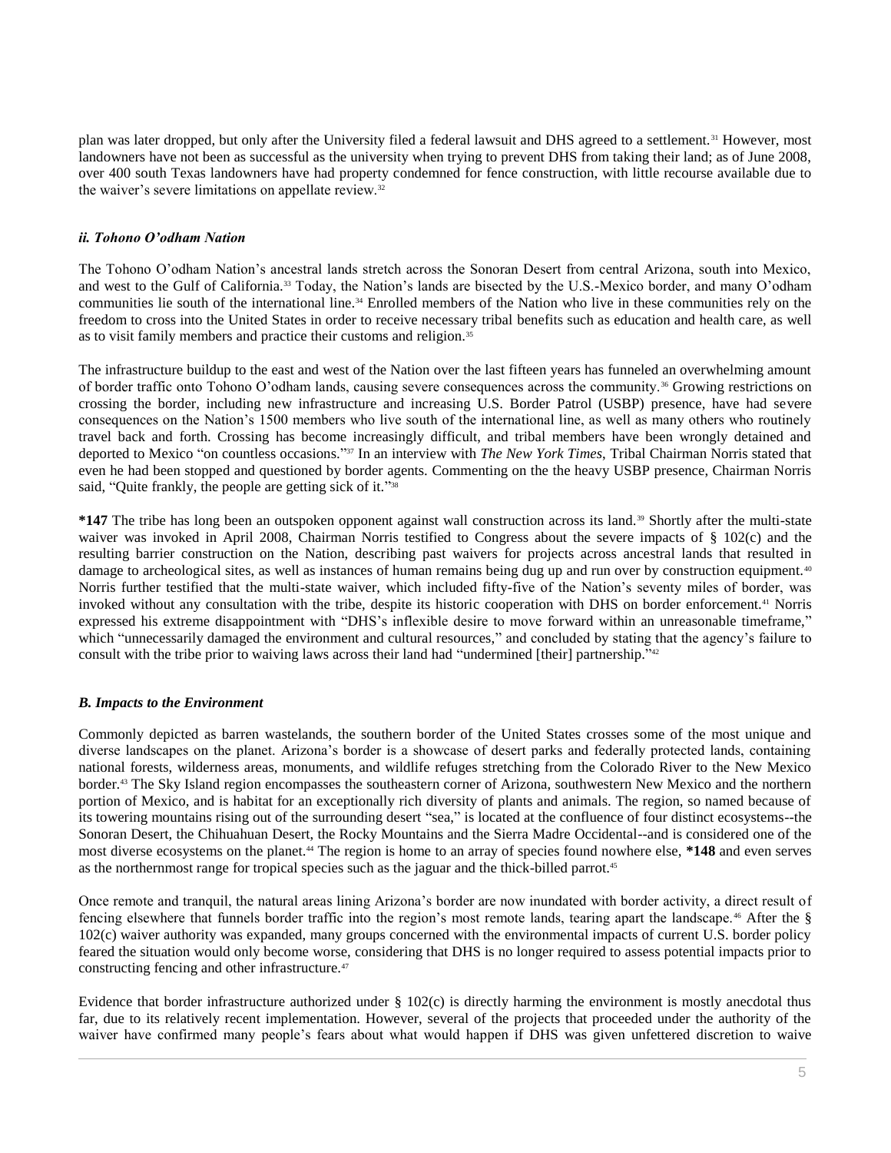plan was later dropped, but only after the University filed a federal lawsuit and DHS agreed to a settlement.<sup>31</sup> However, most landowners have not been as successful as the university when trying to prevent DHS from taking their land; as of June 2008, over 400 south Texas landowners have had property condemned for fence construction, with little recourse available due to the waiver's severe limitations on appellate review.<sup>32</sup>

# *ii. Tohono O'odham Nation*

The Tohono O'odham Nation's ancestral lands stretch across the Sonoran Desert from central Arizona, south into Mexico, and west to the Gulf of California.<sup>33</sup> Today, the Nation's lands are bisected by the U.S.-Mexico border, and many O'odham communities lie south of the international line.<sup>34</sup> Enrolled members of the Nation who live in these communities rely on the freedom to cross into the United States in order to receive necessary tribal benefits such as education and health care, as well as to visit family members and practice their customs and religion.<sup>35</sup>

The infrastructure buildup to the east and west of the Nation over the last fifteen years has funneled an overwhelming amount of border traffic onto Tohono O'odham lands, causing severe consequences across the community.<sup>36</sup> Growing restrictions on crossing the border, including new infrastructure and increasing U.S. Border Patrol (USBP) presence, have had severe consequences on the Nation's 1500 members who live south of the international line, as well as many others who routinely travel back and forth. Crossing has become increasingly difficult, and tribal members have been wrongly detained and deported to Mexico "on countless occasions." <sup>37</sup> In an interview with *The New York Times*, Tribal Chairman Norris stated that even he had been stopped and questioned by border agents. Commenting on the the heavy USBP presence, Chairman Norris said, "Quite frankly, the people are getting sick of it."<sup>38</sup>

**\*147** The tribe has long been an outspoken opponent against wall construction across its land.<sup>39</sup> Shortly after the multi-state waiver was invoked in April 2008, Chairman Norris testified to Congress about the severe impacts of § 102(c) and the resulting barrier construction on the Nation, describing past waivers for projects across ancestral lands that resulted in damage to archeological sites, as well as instances of human remains being dug up and run over by construction equipment.<sup>40</sup> Norris further testified that the multi-state waiver, which included fifty-five of the Nation's seventy miles of border, was invoked without any consultation with the tribe, despite its historic cooperation with DHS on border enforcement.<sup>41</sup> Norris expressed his extreme disappointment with "DHS's inflexible desire to move forward within an unreasonable timeframe," which "unnecessarily damaged the environment and cultural resources," and concluded by stating that the agency's failure to consult with the tribe prior to waiving laws across their land had "undermined [their] partnership." 42

# *B. Impacts to the Environment*

Commonly depicted as barren wastelands, the southern border of the United States crosses some of the most unique and diverse landscapes on the planet. Arizona's border is a showcase of desert parks and federally protected lands, containing national forests, wilderness areas, monuments, and wildlife refuges stretching from the Colorado River to the New Mexico border.<sup>43</sup> The Sky Island region encompasses the southeastern corner of Arizona, southwestern New Mexico and the northern portion of Mexico, and is habitat for an exceptionally rich diversity of plants and animals. The region, so named because of its towering mountains rising out of the surrounding desert "sea," is located at the confluence of four distinct ecosystems--the Sonoran Desert, the Chihuahuan Desert, the Rocky Mountains and the Sierra Madre Occidental--and is considered one of the most diverse ecosystems on the planet.<sup>44</sup> The region is home to an array of species found nowhere else, **\*148** and even serves as the northernmost range for tropical species such as the jaguar and the thick-billed parrot.<sup>45</sup>

Once remote and tranquil, the natural areas lining Arizona's border are now inundated with border activity, a direct result of fencing elsewhere that funnels border traffic into the region's most remote lands, tearing apart the landscape. <sup>46</sup> After the § 102(c) waiver authority was expanded, many groups concerned with the environmental impacts of current U.S. border policy feared the situation would only become worse, considering that DHS is no longer required to assess potential impacts prior to constructing fencing and other infrastructure.<sup>47</sup>

Evidence that border infrastructure authorized under § 102(c) is directly harming the environment is mostly anecdotal thus far, due to its relatively recent implementation. However, several of the projects that proceeded under the authority of the waiver have confirmed many people's fears about what would happen if DHS was given unfettered discretion to waive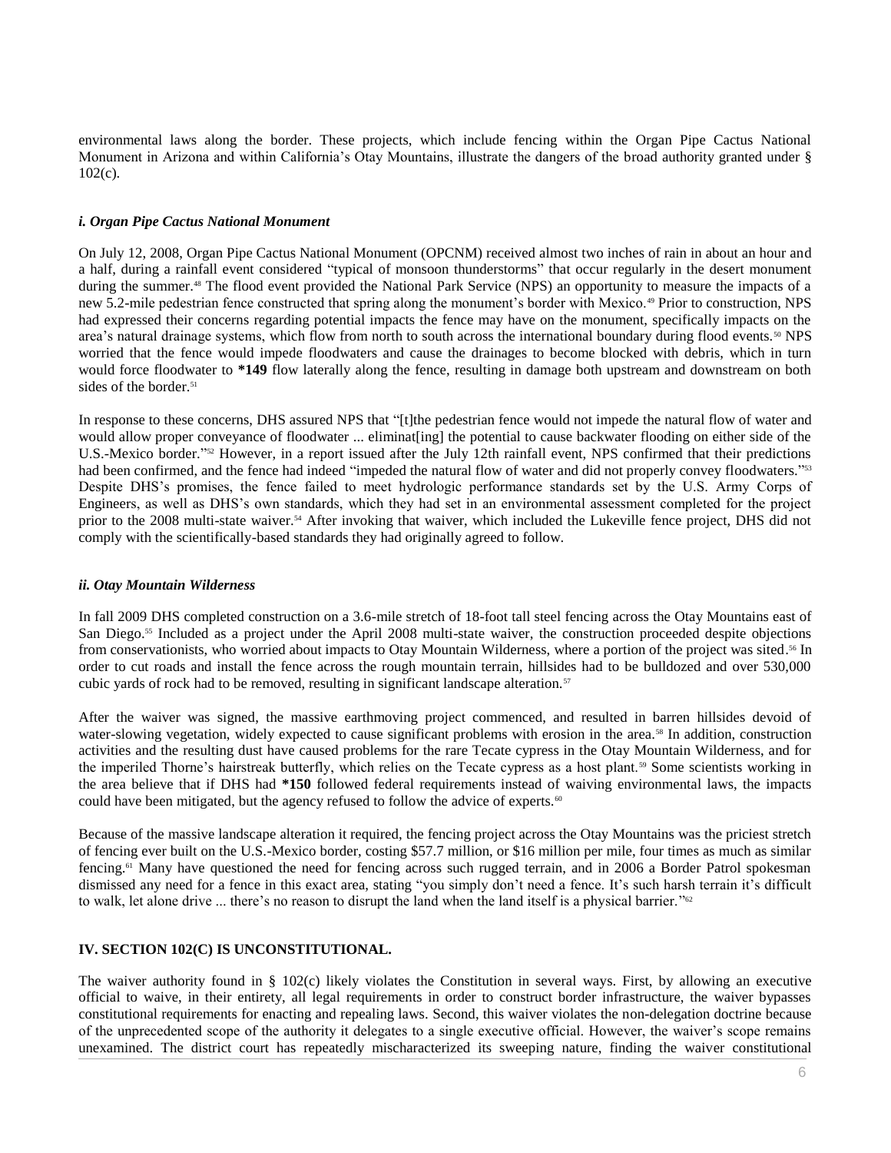environmental laws along the border. These projects, which include fencing within the Organ Pipe Cactus National Monument in Arizona and within California's Otay Mountains, illustrate the dangers of the broad authority granted under § 102(c).

#### *i. Organ Pipe Cactus National Monument*

On July 12, 2008, Organ Pipe Cactus National Monument (OPCNM) received almost two inches of rain in about an hour and a half, during a rainfall event considered "typical of monsoon thunderstorms" that occur regularly in the desert monument during the summer.<sup>48</sup> The flood event provided the National Park Service (NPS) an opportunity to measure the impacts of a new 5.2-mile pedestrian fence constructed that spring along the monument's border with Mexico.<sup>49</sup> Prior to construction, NPS had expressed their concerns regarding potential impacts the fence may have on the monument, specifically impacts on the area's natural drainage systems, which flow from north to south across the international boundary during flood events.<sup>50</sup> NPS worried that the fence would impede floodwaters and cause the drainages to become blocked with debris, which in turn would force floodwater to **\*149** flow laterally along the fence, resulting in damage both upstream and downstream on both sides of the border.<sup>51</sup>

In response to these concerns, DHS assured NPS that "[t]the pedestrian fence would not impede the natural flow of water and would allow proper conveyance of floodwater ... eliminat[ing] the potential to cause backwater flooding on either side of the U.S.-Mexico border." <sup>52</sup> However, in a report issued after the July 12th rainfall event, NPS confirmed that their predictions had been confirmed, and the fence had indeed "impeded the natural flow of water and did not properly convey floodwaters."<sup>53</sup> Despite DHS's promises, the fence failed to meet hydrologic performance standards set by the U.S. Army Corps of Engineers, as well as DHS's own standards, which they had set in an environmental assessment completed for the project prior to the 2008 multi-state waiver.<sup>54</sup> After invoking that waiver, which included the Lukeville fence project, DHS did not comply with the scientifically-based standards they had originally agreed to follow.

## *ii. Otay Mountain Wilderness*

In fall 2009 DHS completed construction on a 3.6-mile stretch of 18-foot tall steel fencing across the Otay Mountains east of San Diego.<sup>55</sup> Included as a project under the April 2008 multi-state waiver, the construction proceeded despite objections from conservationists, who worried about impacts to Otay Mountain Wilderness, where a portion of the project was sited. <sup>56</sup> In order to cut roads and install the fence across the rough mountain terrain, hillsides had to be bulldozed and over 530,000 cubic yards of rock had to be removed, resulting in significant landscape alteration.<sup>57</sup>

After the waiver was signed, the massive earthmoving project commenced, and resulted in barren hillsides devoid of water-slowing vegetation, widely expected to cause significant problems with erosion in the area.<sup>58</sup> In addition, construction activities and the resulting dust have caused problems for the rare Tecate cypress in the Otay Mountain Wilderness, and for the imperiled Thorne's hairstreak butterfly, which relies on the Tecate cypress as a host plant.<sup>59</sup> Some scientists working in the area believe that if DHS had **\*150** followed federal requirements instead of waiving environmental laws, the impacts could have been mitigated, but the agency refused to follow the advice of experts.<sup>60</sup>

Because of the massive landscape alteration it required, the fencing project across the Otay Mountains was the priciest stretch of fencing ever built on the U.S.-Mexico border, costing \$57.7 million, or \$16 million per mile, four times as much as similar fencing.<sup>61</sup> Many have questioned the need for fencing across such rugged terrain, and in 2006 a Border Patrol spokesman dismissed any need for a fence in this exact area, stating "you simply don't need a fence. It's such harsh terrain it's difficult to walk, let alone drive ... there's no reason to disrupt the land when the land itself is a physical barrier."<sup>22</sup>

# **IV. SECTION 102(C) IS UNCONSTITUTIONAL.**

The waiver authority found in § 102(c) likely violates the Constitution in several ways. First, by allowing an executive official to waive, in their entirety, all legal requirements in order to construct border infrastructure, the waiver bypasses constitutional requirements for enacting and repealing laws. Second, this waiver violates the non-delegation doctrine because of the unprecedented scope of the authority it delegates to a single executive official. However, the waiver's scope remains unexamined. The district court has repeatedly mischaracterized its sweeping nature, finding the waiver constitutional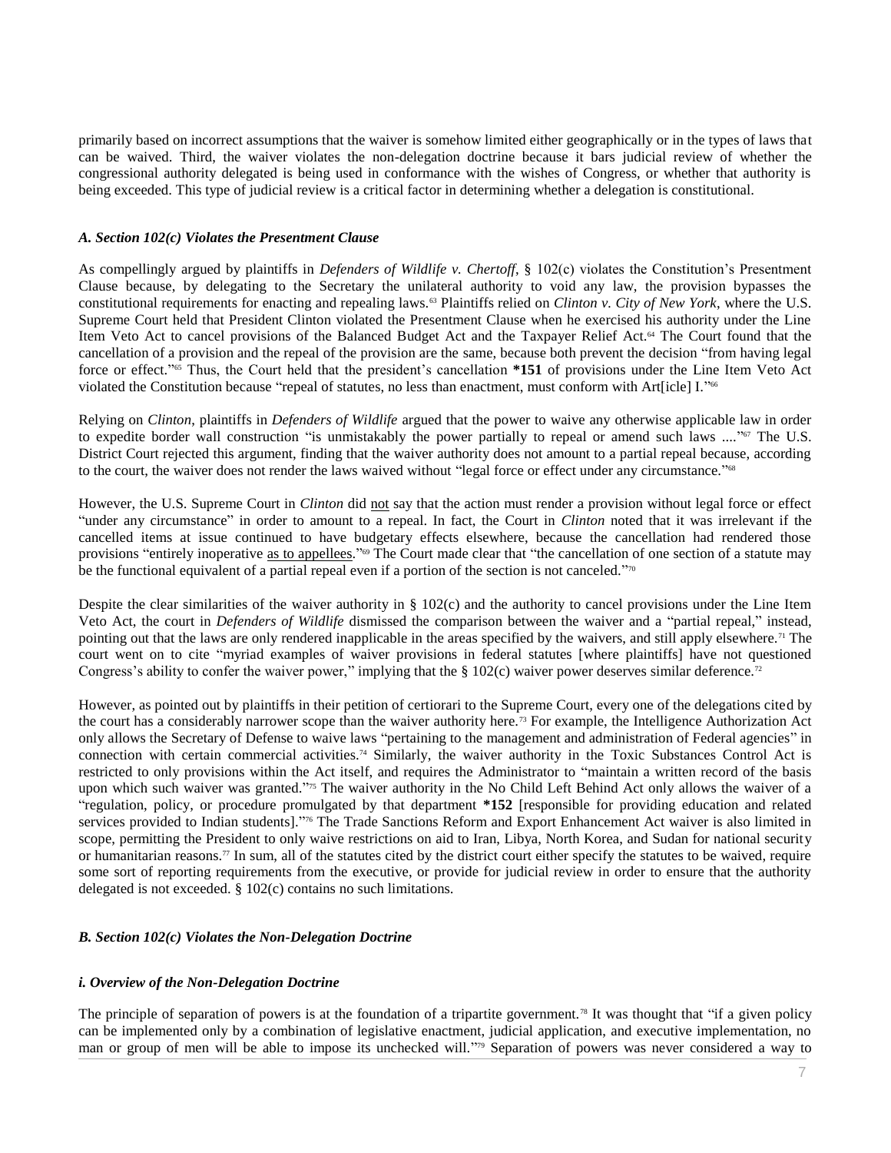primarily based on incorrect assumptions that the waiver is somehow limited either geographically or in the types of laws that can be waived. Third, the waiver violates the non-delegation doctrine because it bars judicial review of whether the congressional authority delegated is being used in conformance with the wishes of Congress, or whether that authority is being exceeded. This type of judicial review is a critical factor in determining whether a delegation is constitutional.

## *A. Section 102(c) Violates the Presentment Clause*

As compellingly argued by plaintiffs in *Defenders of Wildlife v. Chertoff*, § 102(c) violates the Constitution's Presentment Clause because, by delegating to the Secretary the unilateral authority to void any law, the provision bypasses the constitutional requirements for enacting and repealing laws.<sup>63</sup> Plaintiffs relied on *Clinton v. City of New York*, where the U.S. Supreme Court held that President Clinton violated the Presentment Clause when he exercised his authority under the Line Item Veto Act to cancel provisions of the Balanced Budget Act and the Taxpayer Relief Act.<sup>64</sup> The Court found that the cancellation of a provision and the repeal of the provision are the same, because both prevent the decision "from having legal force or effect." <sup>65</sup> Thus, the Court held that the president's cancellation **\*151** of provisions under the Line Item Veto Act violated the Constitution because "repeal of statutes, no less than enactment, must conform with Art[icle] I." 66

Relying on *Clinton*, plaintiffs in *Defenders of Wildlife* argued that the power to waive any otherwise applicable law in order to expedite border wall construction "is unmistakably the power partially to repeal or amend such laws ...."<sup>or</sup> The U.S. District Court rejected this argument, finding that the waiver authority does not amount to a partial repeal because, according to the court, the waiver does not render the laws waived without "legal force or effect under any circumstance."<sup>68</sup>

However, the U.S. Supreme Court in *Clinton* did not say that the action must render a provision without legal force or effect "under any circumstance" in order to amount to a repeal. In fact, the Court in *Clinton* noted that it was irrelevant if the cancelled items at issue continued to have budgetary effects elsewhere, because the cancellation had rendered those provisions "entirely inoperative as to appellees."<sup>69</sup> The Court made clear that "the cancellation of one section of a statute may be the functional equivalent of a partial repeal even if a portion of the section is not canceled."<sup>70</sup>

Despite the clear similarities of the waiver authority in  $\S$  102(c) and the authority to cancel provisions under the Line Item Veto Act, the court in *Defenders of Wildlife* dismissed the comparison between the waiver and a "partial repeal," instead, pointing out that the laws are only rendered inapplicable in the areas specified by the waivers, and still apply elsewhere.<sup>71</sup> The court went on to cite "myriad examples of waiver provisions in federal statutes [where plaintiffs] have not questioned Congress's ability to confer the waiver power," implying that the § 102(c) waiver power deserves similar deference.<sup>72</sup>

However, as pointed out by plaintiffs in their petition of certiorari to the Supreme Court, every one of the delegations cited by the court has a considerably narrower scope than the waiver authority here.<sup>73</sup> For example, the Intelligence Authorization Act only allows the Secretary of Defense to waive laws "pertaining to the management and administration of Federal agencies" in connection with certain commercial activities.<sup>74</sup> Similarly, the waiver authority in the Toxic Substances Control Act is restricted to only provisions within the Act itself, and requires the Administrator to "maintain a written record of the basis upon which such waiver was granted." <sup>75</sup> The waiver authority in the No Child Left Behind Act only allows the waiver of a "regulation, policy, or procedure promulgated by that department **\*152** [responsible for providing education and related services provided to Indian students].<sup>"76</sup> The Trade Sanctions Reform and Export Enhancement Act waiver is also limited in scope, permitting the President to only waive restrictions on aid to Iran, Libya, North Korea, and Sudan for national security or humanitarian reasons.<sup>77</sup> In sum, all of the statutes cited by the district court either specify the statutes to be waived, require some sort of reporting requirements from the executive, or provide for judicial review in order to ensure that the authority delegated is not exceeded. § 102(c) contains no such limitations.

# *B. Section 102(c) Violates the Non-Delegation Doctrine*

# *i. Overview of the Non-Delegation Doctrine*

The principle of separation of powers is at the foundation of a tripartite government.<sup>78</sup> It was thought that "if a given policy can be implemented only by a combination of legislative enactment, judicial application, and executive implementation, no man or group of men will be able to impose its unchecked will."<sup>79</sup> Separation of powers was never considered a way to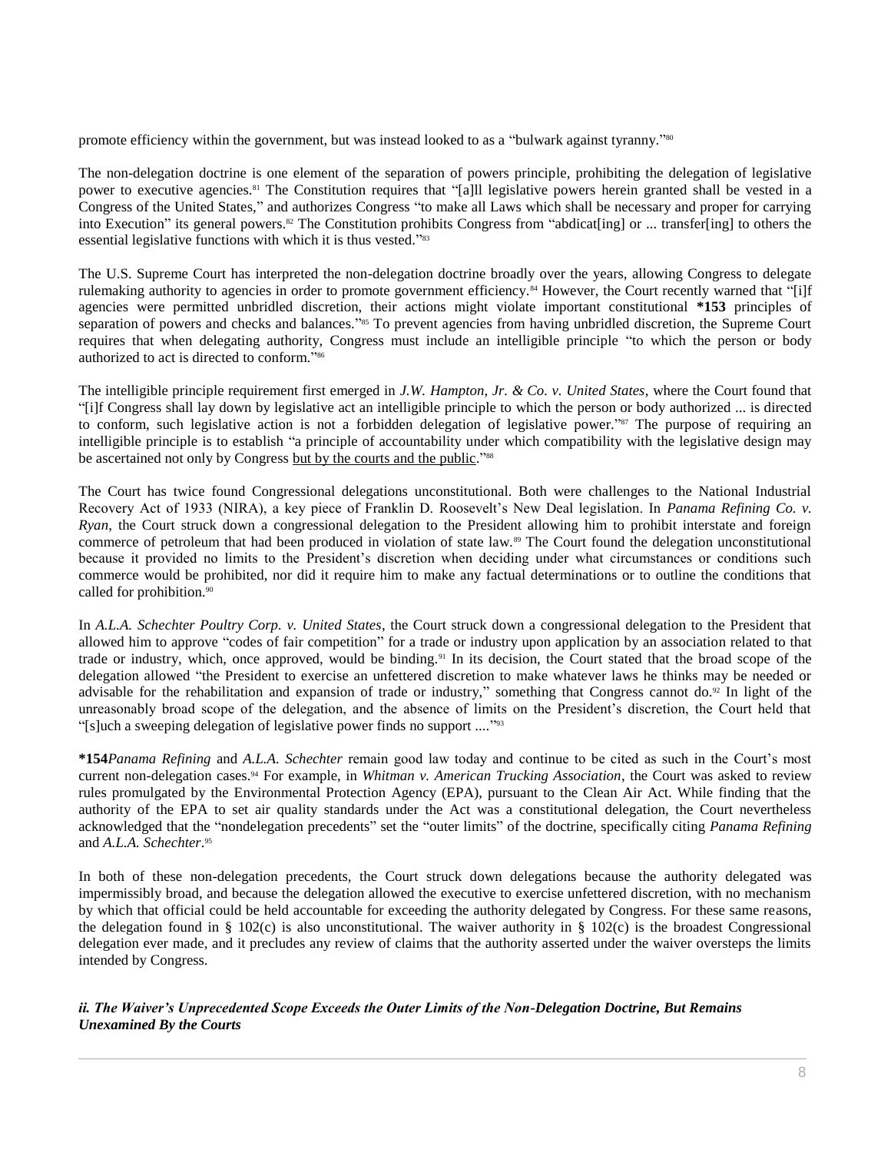promote efficiency within the government, but was instead looked to as a "bulwark against tyranny."<sup>80</sup>

The non-delegation doctrine is one element of the separation of powers principle, prohibiting the delegation of legislative power to executive agencies.<sup>81</sup> The Constitution requires that "[a]ll legislative powers herein granted shall be vested in a Congress of the United States," and authorizes Congress "to make all Laws which shall be necessary and proper for carrying into Execution" its general powers.<sup>82</sup> The Constitution prohibits Congress from "abdicat[ing] or ... transfer[ing] to others the essential legislative functions with which it is thus vested."<sup>83</sup>

The U.S. Supreme Court has interpreted the non-delegation doctrine broadly over the years, allowing Congress to delegate rulemaking authority to agencies in order to promote government efficiency.<sup>84</sup> However, the Court recently warned that "[i]f agencies were permitted unbridled discretion, their actions might violate important constitutional **\*153** principles of separation of powers and checks and balances."<sup>85</sup> To prevent agencies from having unbridled discretion, the Supreme Court requires that when delegating authority, Congress must include an intelligible principle "to which the person or body authorized to act is directed to conform." 86

The intelligible principle requirement first emerged in *J.W. Hampton, Jr. & Co. v. United States*, where the Court found that "[i]f Congress shall lay down by legislative act an intelligible principle to which the person or body authorized ... is directed to conform, such legislative action is not a forbidden delegation of legislative power."<sup>87</sup> The purpose of requiring an intelligible principle is to establish "a principle of accountability under which compatibility with the legislative design may be ascertained not only by Congress but by the courts and the public."<sup>888</sup>

The Court has twice found Congressional delegations unconstitutional. Both were challenges to the National Industrial Recovery Act of 1933 (NIRA), a key piece of Franklin D. Roosevelt's New Deal legislation. In *Panama Refining Co. v. Ryan*, the Court struck down a congressional delegation to the President allowing him to prohibit interstate and foreign commerce of petroleum that had been produced in violation of state law.<sup>89</sup> The Court found the delegation unconstitutional because it provided no limits to the President's discretion when deciding under what circumstances or conditions such commerce would be prohibited, nor did it require him to make any factual determinations or to outline the conditions that called for prohibition.<sup>90</sup>

In *A.L.A. Schechter Poultry Corp. v. United States*, the Court struck down a congressional delegation to the President that allowed him to approve "codes of fair competition" for a trade or industry upon application by an association related to that trade or industry, which, once approved, would be binding.<sup>91</sup> In its decision, the Court stated that the broad scope of the delegation allowed "the President to exercise an unfettered discretion to make whatever laws he thinks may be needed or advisable for the rehabilitation and expansion of trade or industry," something that Congress cannot do.<sup>92</sup> In light of the unreasonably broad scope of the delegation, and the absence of limits on the President's discretion, the Court held that "[s]uch a sweeping delegation of legislative power finds no support ...."<sup>393</sup>

**\*154***Panama Refining* and *A.L.A. Schechter* remain good law today and continue to be cited as such in the Court's most current non-delegation cases.<sup>94</sup> For example, in *Whitman v. American Trucking Association*, the Court was asked to review rules promulgated by the Environmental Protection Agency (EPA), pursuant to the Clean Air Act. While finding that the authority of the EPA to set air quality standards under the Act was a constitutional delegation, the Court nevertheless acknowledged that the "nondelegation precedents" set the "outer limits" of the doctrine, specifically citing *Panama Refining* and *A.L.A. Schechter*. 95

In both of these non-delegation precedents, the Court struck down delegations because the authority delegated was impermissibly broad, and because the delegation allowed the executive to exercise unfettered discretion, with no mechanism by which that official could be held accountable for exceeding the authority delegated by Congress. For these same reasons, the delegation found in § 102(c) is also unconstitutional. The waiver authority in § 102(c) is the broadest Congressional delegation ever made, and it precludes any review of claims that the authority asserted under the waiver oversteps the limits intended by Congress.

*ii. The Waiver's Unprecedented Scope Exceeds the Outer Limits of the Non-Delegation Doctrine, But Remains Unexamined By the Courts*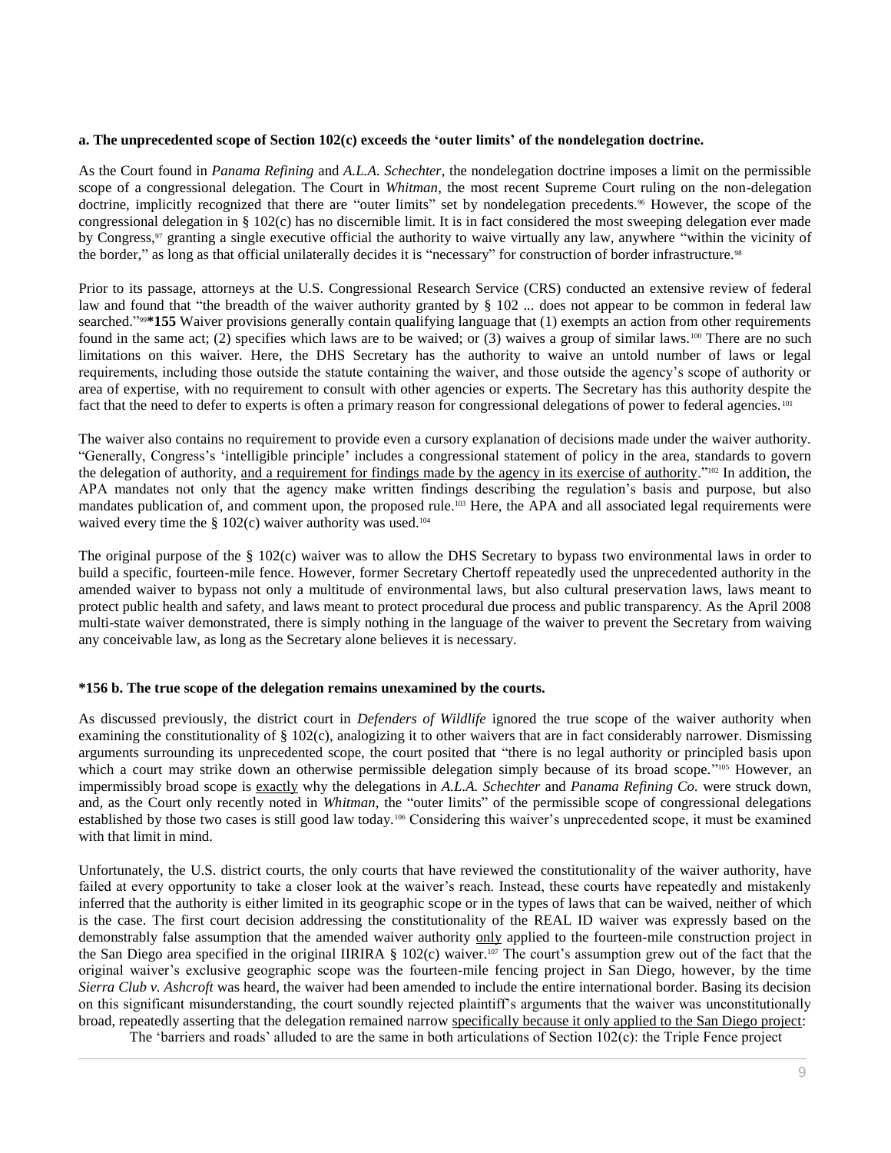#### **a. The unprecedented scope of Section 102(c) exceeds the 'outer limits' of the nondelegation doctrine.**

As the Court found in *Panama Refining* and *A.L.A. Schechter*, the nondelegation doctrine imposes a limit on the permissible scope of a congressional delegation. The Court in *Whitman*, the most recent Supreme Court ruling on the non-delegation doctrine, implicitly recognized that there are "outer limits" set by nondelegation precedents.<sup>96</sup> However, the scope of the congressional delegation in  $\S$  102(c) has no discernible limit. It is in fact considered the most sweeping delegation ever made by Congress,<sup>97</sup> granting a single executive official the authority to waive virtually any law, anywhere "within the vicinity of the border," as long as that official unilaterally decides it is "necessary" for construction of border infrastructure.<sup>98</sup>

Prior to its passage, attorneys at the U.S. Congressional Research Service (CRS) conducted an extensive review of federal law and found that "the breadth of the waiver authority granted by § 102 ... does not appear to be common in federal law searched."<sup>998</sup>\*155 Waiver provisions generally contain qualifying language that (1) exempts an action from other requirements found in the same act; (2) specifies which laws are to be waived; or (3) waives a group of similar laws.<sup>100</sup> There are no such limitations on this waiver. Here, the DHS Secretary has the authority to waive an untold number of laws or legal requirements, including those outside the statute containing the waiver, and those outside the agency's scope of authority or area of expertise, with no requirement to consult with other agencies or experts. The Secretary has this authority despite the fact that the need to defer to experts is often a primary reason for congressional delegations of power to federal agencies.<sup>101</sup>

The waiver also contains no requirement to provide even a cursory explanation of decisions made under the waiver authority. "Generally, Congress's 'intelligible principle' includes a congressional statement of policy in the area, standards to govern the delegation of authority, and a requirement for findings made by the agency in its exercise of authority."<sup>102</sup> In addition, the APA mandates not only that the agency make written findings describing the regulation's basis and purpose, but also mandates publication of, and comment upon, the proposed rule.<sup>103</sup> Here, the APA and all associated legal requirements were waived every time the  $\S 102(c)$  waiver authority was used.<sup>104</sup>

The original purpose of the § 102(c) waiver was to allow the DHS Secretary to bypass two environmental laws in order to build a specific, fourteen-mile fence. However, former Secretary Chertoff repeatedly used the unprecedented authority in the amended waiver to bypass not only a multitude of environmental laws, but also cultural preservation laws, laws meant to protect public health and safety, and laws meant to protect procedural due process and public transparency. As the April 2008 multi-state waiver demonstrated, there is simply nothing in the language of the waiver to prevent the Secretary from waiving any conceivable law, as long as the Secretary alone believes it is necessary.

#### **\*156 b. The true scope of the delegation remains unexamined by the courts.**

As discussed previously, the district court in *Defenders of Wildlife* ignored the true scope of the waiver authority when examining the constitutionality of § 102(c), analogizing it to other waivers that are in fact considerably narrower. Dismissing arguments surrounding its unprecedented scope, the court posited that "there is no legal authority or principled basis upon which a court may strike down an otherwise permissible delegation simply because of its broad scope."<sup>105</sup> However, an impermissibly broad scope is exactly why the delegations in *A.L.A. Schechter* and *Panama Refining Co.* were struck down, and, as the Court only recently noted in *Whitman*, the "outer limits" of the permissible scope of congressional delegations established by those two cases is still good law today.<sup>106</sup> Considering this waiver's unprecedented scope, it must be examined with that limit in mind.

Unfortunately, the U.S. district courts, the only courts that have reviewed the constitutionality of the waiver authority, have failed at every opportunity to take a closer look at the waiver's reach. Instead, these courts have repeatedly and mistakenly inferred that the authority is either limited in its geographic scope or in the types of laws that can be waived, neither of which is the case. The first court decision addressing the constitutionality of the REAL ID waiver was expressly based on the demonstrably false assumption that the amended waiver authority only applied to the fourteen-mile construction project in the San Diego area specified in the original IIRIRA § 102(c) waiver.<sup>107</sup> The court's assumption grew out of the fact that the original waiver's exclusive geographic scope was the fourteen-mile fencing project in San Diego, however, by the time *Sierra Club v. Ashcroft* was heard, the waiver had been amended to include the entire international border. Basing its decision on this significant misunderstanding, the court soundly rejected plaintiff's arguments that the waiver was unconstitutionally broad, repeatedly asserting that the delegation remained narrow specifically because it only applied to the San Diego project:

The 'barriers and roads' alluded to are the same in both articulations of Section 102(c): the Triple Fence project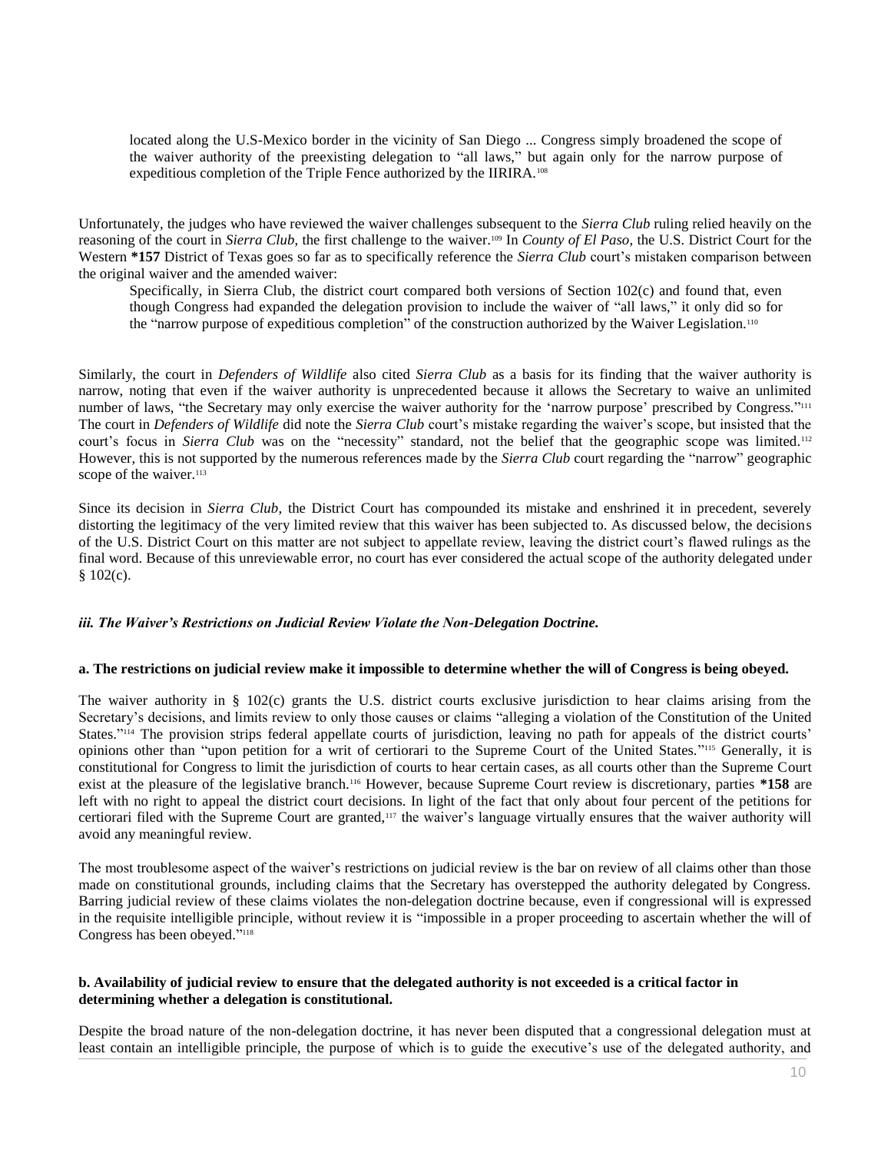located along the U.S-Mexico border in the vicinity of San Diego ... Congress simply broadened the scope of the waiver authority of the preexisting delegation to "all laws," but again only for the narrow purpose of expeditious completion of the Triple Fence authorized by the IIRIRA.<sup>108</sup>

Unfortunately, the judges who have reviewed the waiver challenges subsequent to the *Sierra Club* ruling relied heavily on the reasoning of the court in *Sierra Club*, the first challenge to the waiver.<sup>109</sup> In *County of El Paso*, the U.S. District Court for the Western **\*157** District of Texas goes so far as to specifically reference the *Sierra Club* court's mistaken comparison between the original waiver and the amended waiver:

Specifically, in Sierra Club, the district court compared both versions of Section 102(c) and found that, even though Congress had expanded the delegation provision to include the waiver of "all laws," it only did so for the "narrow purpose of expeditious completion" of the construction authorized by the Waiver Legislation.<sup>110</sup>

Similarly, the court in *Defenders of Wildlife* also cited *Sierra Club* as a basis for its finding that the waiver authority is narrow, noting that even if the waiver authority is unprecedented because it allows the Secretary to waive an unlimited number of laws, "the Secretary may only exercise the waiver authority for the 'narrow purpose' prescribed by Congress."<sup>111</sup> The court in *Defenders of Wildlife* did note the *Sierra Club* court's mistake regarding the waiver's scope, but insisted that the court's focus in *Sierra Club* was on the "necessity" standard, not the belief that the geographic scope was limited.<sup>112</sup> However, this is not supported by the numerous references made by the *Sierra Club* court regarding the "narrow" geographic scope of the waiver.<sup>113</sup>

Since its decision in *Sierra Club*, the District Court has compounded its mistake and enshrined it in precedent, severely distorting the legitimacy of the very limited review that this waiver has been subjected to. As discussed below, the decisions of the U.S. District Court on this matter are not subject to appellate review, leaving the district court's flawed rulings as the final word. Because of this unreviewable error, no court has ever considered the actual scope of the authority delegated under § 102(c).

## *iii. The Waiver's Restrictions on Judicial Review Violate the Non-Delegation Doctrine.*

#### **a. The restrictions on judicial review make it impossible to determine whether the will of Congress is being obeyed.**

The waiver authority in § 102(c) grants the U.S. district courts exclusive jurisdiction to hear claims arising from the Secretary's decisions, and limits review to only those causes or claims "alleging a violation of the Constitution of the United States."<sup>114</sup> The provision strips federal appellate courts of jurisdiction, leaving no path for appeals of the district courts' opinions other than "upon petition for a writ of certiorari to the Supreme Court of the United States." <sup>115</sup> Generally, it is constitutional for Congress to limit the jurisdiction of courts to hear certain cases, as all courts other than the Supreme Court exist at the pleasure of the legislative branch.<sup>116</sup> However, because Supreme Court review is discretionary, parties **\*158** are left with no right to appeal the district court decisions. In light of the fact that only about four percent of the petitions for certiorari filed with the Supreme Court are granted,<sup>117</sup> the waiver's language virtually ensures that the waiver authority will avoid any meaningful review.

The most troublesome aspect of the waiver's restrictions on judicial review is the bar on review of all claims other than those made on constitutional grounds, including claims that the Secretary has overstepped the authority delegated by Congress. Barring judicial review of these claims violates the non-delegation doctrine because, even if congressional will is expressed in the requisite intelligible principle, without review it is "impossible in a proper proceeding to ascertain whether the will of Congress has been obeyed." 118

## **b. Availability of judicial review to ensure that the delegated authority is not exceeded is a critical factor in determining whether a delegation is constitutional.**

Despite the broad nature of the non-delegation doctrine, it has never been disputed that a congressional delegation must at least contain an intelligible principle, the purpose of which is to guide the executive's use of the delegated authority, and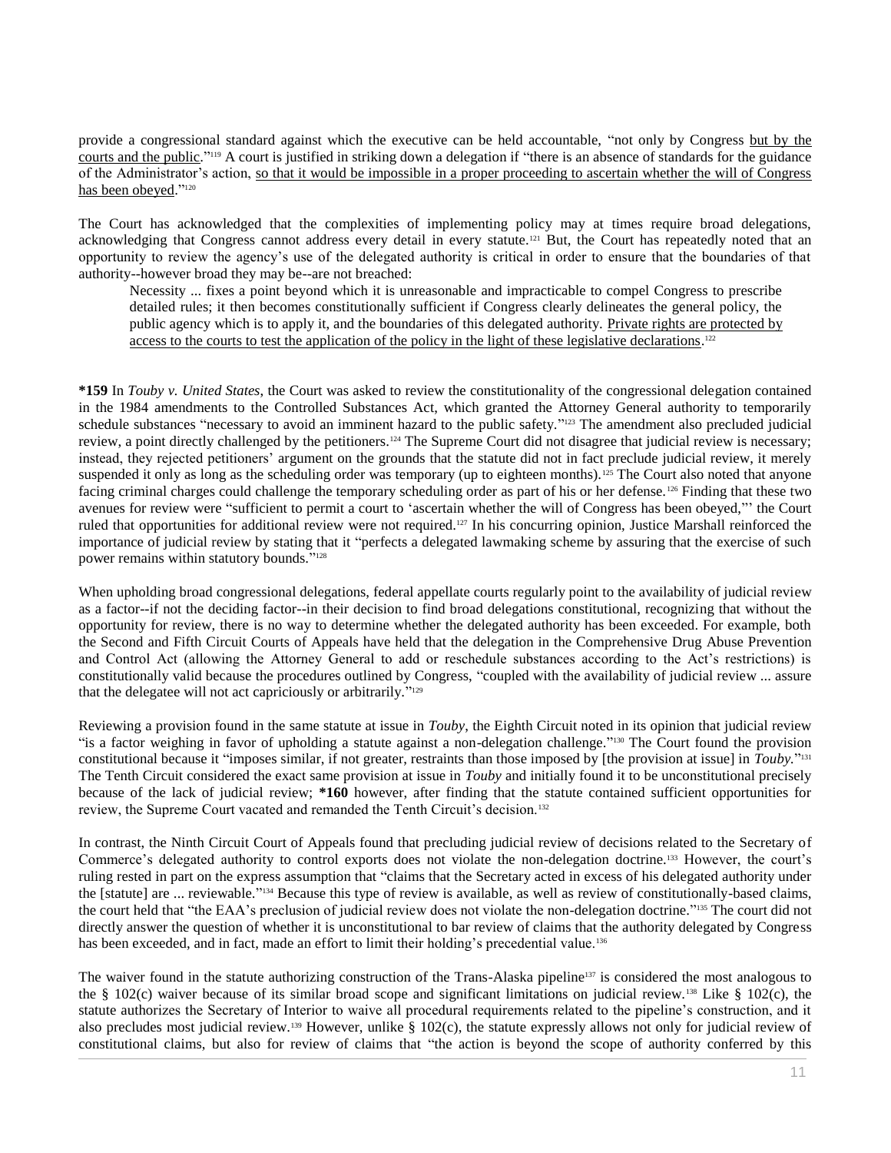provide a congressional standard against which the executive can be held accountable, "not only by Congress but by the courts and the public."<sup>119</sup> A court is justified in striking down a delegation if "there is an absence of standards for the guidance of the Administrator's action, so that it would be impossible in a proper proceeding to ascertain whether the will of Congress has been obeyed."<sup>120</sup>

The Court has acknowledged that the complexities of implementing policy may at times require broad delegations, acknowledging that Congress cannot address every detail in every statute.<sup>121</sup> But, the Court has repeatedly noted that an opportunity to review the agency's use of the delegated authority is critical in order to ensure that the boundaries of that authority--however broad they may be--are not breached:

Necessity ... fixes a point beyond which it is unreasonable and impracticable to compel Congress to prescribe detailed rules; it then becomes constitutionally sufficient if Congress clearly delineates the general policy, the public agency which is to apply it, and the boundaries of this delegated authority. Private rights are protected by access to the courts to test the application of the policy in the light of these legislative declarations.<sup>122</sup>

**\*159** In *Touby v. United States*, the Court was asked to review the constitutionality of the congressional delegation contained in the 1984 amendments to the Controlled Substances Act, which granted the Attorney General authority to temporarily schedule substances "necessary to avoid an imminent hazard to the public safety."<sup>123</sup> The amendment also precluded judicial review, a point directly challenged by the petitioners.<sup>124</sup> The Supreme Court did not disagree that judicial review is necessary; instead, they rejected petitioners' argument on the grounds that the statute did not in fact preclude judicial review, it merely suspended it only as long as the scheduling order was temporary (up to eighteen months).<sup>125</sup> The Court also noted that anyone facing criminal charges could challenge the temporary scheduling order as part of his or her defense.<sup>126</sup> Finding that these two avenues for review were "sufficient to permit a court to 'ascertain whether the will of Congress has been obeyed,"' the Court ruled that opportunities for additional review were not required.<sup>127</sup> In his concurring opinion, Justice Marshall reinforced the importance of judicial review by stating that it "perfects a delegated lawmaking scheme by assuring that the exercise of such power remains within statutory bounds." 128

When upholding broad congressional delegations, federal appellate courts regularly point to the availability of judicial review as a factor--if not the deciding factor--in their decision to find broad delegations constitutional, recognizing that without the opportunity for review, there is no way to determine whether the delegated authority has been exceeded. For example, both the Second and Fifth Circuit Courts of Appeals have held that the delegation in the Comprehensive Drug Abuse Prevention and Control Act (allowing the Attorney General to add or reschedule substances according to the Act's restrictions) is constitutionally valid because the procedures outlined by Congress, "coupled with the availability of judicial review ... assure that the delegatee will not act capriciously or arbitrarily."<sup>129</sup>

Reviewing a provision found in the same statute at issue in *Touby*, the Eighth Circuit noted in its opinion that judicial review "is a factor weighing in favor of upholding a statute against a non-delegation challenge."<sup>130</sup> The Court found the provision constitutional because it "imposes similar, if not greater, restraints than those imposed by [the provision at issue] in *Touby.*" 131 The Tenth Circuit considered the exact same provision at issue in *Touby* and initially found it to be unconstitutional precisely because of the lack of judicial review; **\*160** however, after finding that the statute contained sufficient opportunities for review, the Supreme Court vacated and remanded the Tenth Circuit's decision.<sup>132</sup>

In contrast, the Ninth Circuit Court of Appeals found that precluding judicial review of decisions related to the Secretary of Commerce's delegated authority to control exports does not violate the non-delegation doctrine.<sup>133</sup> However, the court's ruling rested in part on the express assumption that "claims that the Secretary acted in excess of his delegated authority under the [statute] are ... reviewable." <sup>134</sup> Because this type of review is available, as well as review of constitutionally-based claims, the court held that "the EAA's preclusion of judicial review does not violate the non-delegation doctrine." <sup>135</sup> The court did not directly answer the question of whether it is unconstitutional to bar review of claims that the authority delegated by Congress has been exceeded, and in fact, made an effort to limit their holding's precedential value.<sup>136</sup>

The waiver found in the statute authorizing construction of the Trans-Alaska pipeline<sup>137</sup> is considered the most analogous to the § 102(c) waiver because of its similar broad scope and significant limitations on judicial review.<sup>138</sup> Like § 102(c), the statute authorizes the Secretary of Interior to waive all procedural requirements related to the pipeline's construction, and it also precludes most judicial review.<sup>139</sup> However, unlike  $\S$  102(c), the statute expressly allows not only for judicial review of constitutional claims, but also for review of claims that "the action is beyond the scope of authority conferred by this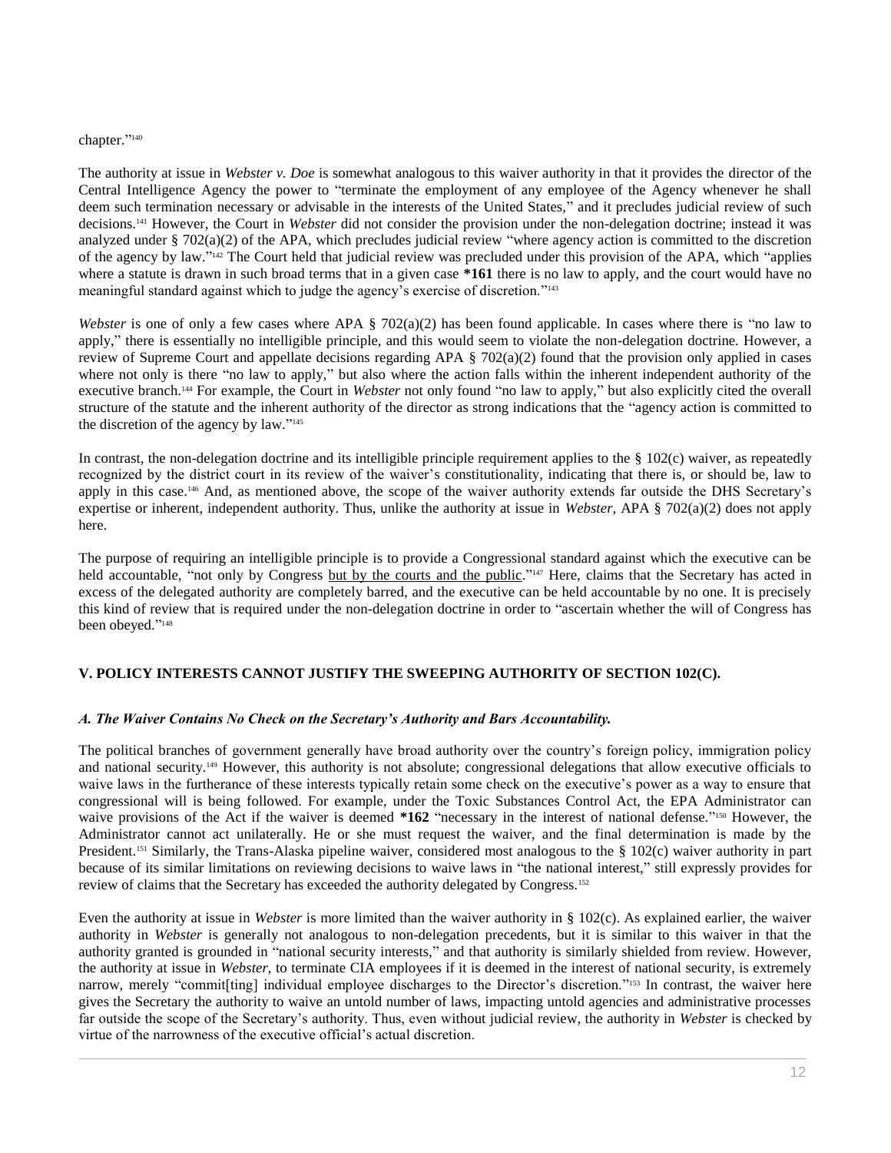#### chapter." 140

The authority at issue in *Webster v. Doe* is somewhat analogous to this waiver authority in that it provides the director of the Central Intelligence Agency the power to "terminate the employment of any employee of the Agency whenever he shall deem such termination necessary or advisable in the interests of the United States," and it precludes judicial review of such decisions.<sup>141</sup> However, the Court in *Webster* did not consider the provision under the non-delegation doctrine; instead it was analyzed under § 702(a)(2) of the APA, which precludes judicial review "where agency action is committed to the discretion of the agency by law."<sup>142</sup> The Court held that judicial review was precluded under this provision of the APA, which "applies where a statute is drawn in such broad terms that in a given case \*161 there is no law to apply, and the court would have no meaningful standard against which to judge the agency's exercise of discretion." 143

*Webster* is one of only a few cases where APA § 702(a)(2) has been found applicable. In cases where there is "no law to apply," there is essentially no intelligible principle, and this would seem to violate the non-delegation doctrine. However, a review of Supreme Court and appellate decisions regarding APA  $\S$  702(a)(2) found that the provision only applied in cases where not only is there "no law to apply," but also where the action falls within the inherent independent authority of the executive branch.<sup>144</sup> For example, the Court in *Webster* not only found "no law to apply," but also explicitly cited the overall structure of the statute and the inherent authority of the director as strong indications that the "agency action is committed to the discretion of the agency by law."<sup>145</sup>

In contrast, the non-delegation doctrine and its intelligible principle requirement applies to the  $\S$  102(c) waiver, as repeatedly recognized by the district court in its review of the waiver's constitutionality, indicating that there is, or should be, law to apply in this case.<sup>146</sup> And, as mentioned above, the scope of the waiver authority extends far outside the DHS Secretary's expertise or inherent, independent authority. Thus, unlike the authority at issue in *Webster*, APA § 702(a)(2) does not apply here.

The purpose of requiring an intelligible principle is to provide a Congressional standard against which the executive can be held accountable, "not only by Congress but by the courts and the public."<sup>147</sup> Here, claims that the Secretary has acted in excess of the delegated authority are completely barred, and the executive can be held accountable by no one. It is precisely this kind of review that is required under the non-delegation doctrine in order to "ascertain whether the will of Congress has been obeyed." 148

# **V. POLICY INTERESTS CANNOT JUSTIFY THE SWEEPING AUTHORITY OF SECTION 102(C).**

#### *A. The Waiver Contains No Check on the Secretary's Authority and Bars Accountability.*

The political branches of government generally have broad authority over the country's foreign policy, immigration policy and national security.<sup>149</sup> However, this authority is not absolute; congressional delegations that allow executive officials to waive laws in the furtherance of these interests typically retain some check on the executive's power as a way to ensure that congressional will is being followed. For example, under the Toxic Substances Control Act, the EPA Administrator can waive provisions of the Act if the waiver is deemed **\*162** "necessary in the interest of national defense."<sup>150</sup> However, the Administrator cannot act unilaterally. He or she must request the waiver, and the final determination is made by the President.<sup>151</sup> Similarly, the Trans-Alaska pipeline waiver, considered most analogous to the § 102(c) waiver authority in part because of its similar limitations on reviewing decisions to waive laws in "the national interest," still expressly provides for review of claims that the Secretary has exceeded the authority delegated by Congress.<sup>152</sup>

Even the authority at issue in *Webster* is more limited than the waiver authority in § 102(c). As explained earlier, the waiver authority in *Webster* is generally not analogous to non-delegation precedents, but it is similar to this waiver in that the authority granted is grounded in "national security interests," and that authority is similarly shielded from review. However, the authority at issue in *Webster*, to terminate CIA employees if it is deemed in the interest of national security, is extremely narrow, merely "commit[ting] individual employee discharges to the Director's discretion."<sup>153</sup> In contrast, the waiver here gives the Secretary the authority to waive an untold number of laws, impacting untold agencies and administrative processes far outside the scope of the Secretary's authority. Thus, even without judicial review, the authority in *Webster* is checked by virtue of the narrowness of the executive official's actual discretion.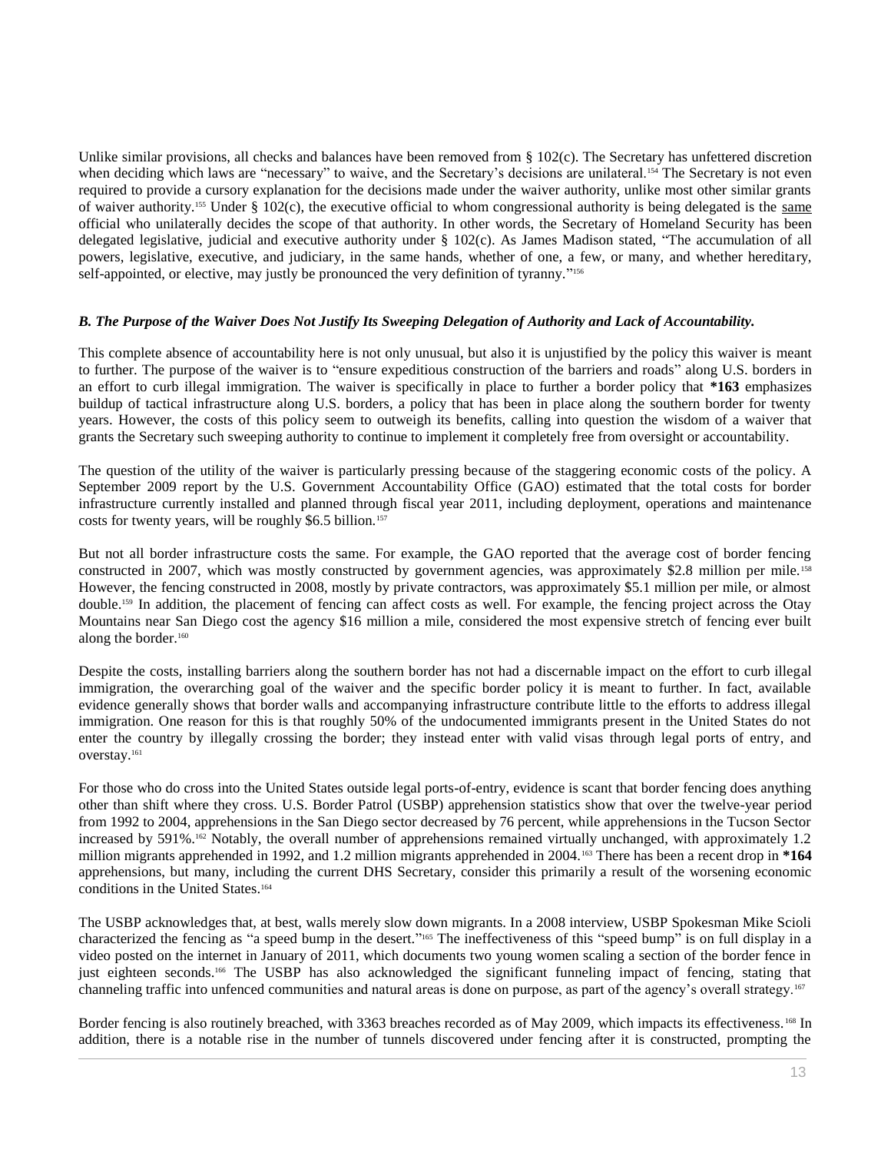Unlike similar provisions, all checks and balances have been removed from § 102(c). The Secretary has unfettered discretion when deciding which laws are "necessary" to waive, and the Secretary's decisions are unilateral.<sup>154</sup> The Secretary is not even required to provide a cursory explanation for the decisions made under the waiver authority, unlike most other similar grants of waiver authority.<sup>155</sup> Under § 102(c), the executive official to whom congressional authority is being delegated is the same official who unilaterally decides the scope of that authority. In other words, the Secretary of Homeland Security has been delegated legislative, judicial and executive authority under § 102(c). As James Madison stated, "The accumulation of all powers, legislative, executive, and judiciary, in the same hands, whether of one, a few, or many, and whether hereditary, self-appointed, or elective, may justly be pronounced the very definition of tyranny."<sup>156</sup>

## *B. The Purpose of the Waiver Does Not Justify Its Sweeping Delegation of Authority and Lack of Accountability.*

This complete absence of accountability here is not only unusual, but also it is unjustified by the policy this waiver is meant to further. The purpose of the waiver is to "ensure expeditious construction of the barriers and roads" along U.S. borders in an effort to curb illegal immigration. The waiver is specifically in place to further a border policy that **\*163** emphasizes buildup of tactical infrastructure along U.S. borders, a policy that has been in place along the southern border for twenty years. However, the costs of this policy seem to outweigh its benefits, calling into question the wisdom of a waiver that grants the Secretary such sweeping authority to continue to implement it completely free from oversight or accountability.

The question of the utility of the waiver is particularly pressing because of the staggering economic costs of the policy. A September 2009 report by the U.S. Government Accountability Office (GAO) estimated that the total costs for border infrastructure currently installed and planned through fiscal year 2011, including deployment, operations and maintenance costs for twenty years, will be roughly \$6.5 billion.<sup>157</sup>

But not all border infrastructure costs the same. For example, the GAO reported that the average cost of border fencing constructed in 2007, which was mostly constructed by government agencies, was approximately \$2.8 million per mile.<sup>158</sup> However, the fencing constructed in 2008, mostly by private contractors, was approximately \$5.1 million per mile, or almost double.<sup>159</sup> In addition, the placement of fencing can affect costs as well. For example, the fencing project across the Otay Mountains near San Diego cost the agency \$16 million a mile, considered the most expensive stretch of fencing ever built along the border.<sup>160</sup>

Despite the costs, installing barriers along the southern border has not had a discernable impact on the effort to curb illegal immigration, the overarching goal of the waiver and the specific border policy it is meant to further. In fact, available evidence generally shows that border walls and accompanying infrastructure contribute little to the efforts to address illegal immigration. One reason for this is that roughly 50% of the undocumented immigrants present in the United States do not enter the country by illegally crossing the border; they instead enter with valid visas through legal ports of entry, and overstay.<sup>161</sup>

For those who do cross into the United States outside legal ports-of-entry, evidence is scant that border fencing does anything other than shift where they cross. U.S. Border Patrol (USBP) apprehension statistics show that over the twelve-year period from 1992 to 2004, apprehensions in the San Diego sector decreased by 76 percent, while apprehensions in the Tucson Sector increased by 591%.<sup>162</sup> Notably, the overall number of apprehensions remained virtually unchanged, with approximately 1.2 million migrants apprehended in 1992, and 1.2 million migrants apprehended in 2004.<sup>163</sup> There has been a recent drop in **\*164** apprehensions, but many, including the current DHS Secretary, consider this primarily a result of the worsening economic conditions in the United States.<sup>164</sup>

The USBP acknowledges that, at best, walls merely slow down migrants. In a 2008 interview, USBP Spokesman Mike Scioli characterized the fencing as "a speed bump in the desert." <sup>165</sup> The ineffectiveness of this "speed bump" is on full display in a video posted on the internet in January of 2011, which documents two young women scaling a section of the border fence in just eighteen seconds. <sup>166</sup> The USBP has also acknowledged the significant funneling impact of fencing, stating that channeling traffic into unfenced communities and natural areas is done on purpose, as part of the agency's overall strategy.<sup>167</sup>

Border fencing is also routinely breached, with 3363 breaches recorded as of May 2009, which impacts its effectiveness. <sup>168</sup> In addition, there is a notable rise in the number of tunnels discovered under fencing after it is constructed, prompting the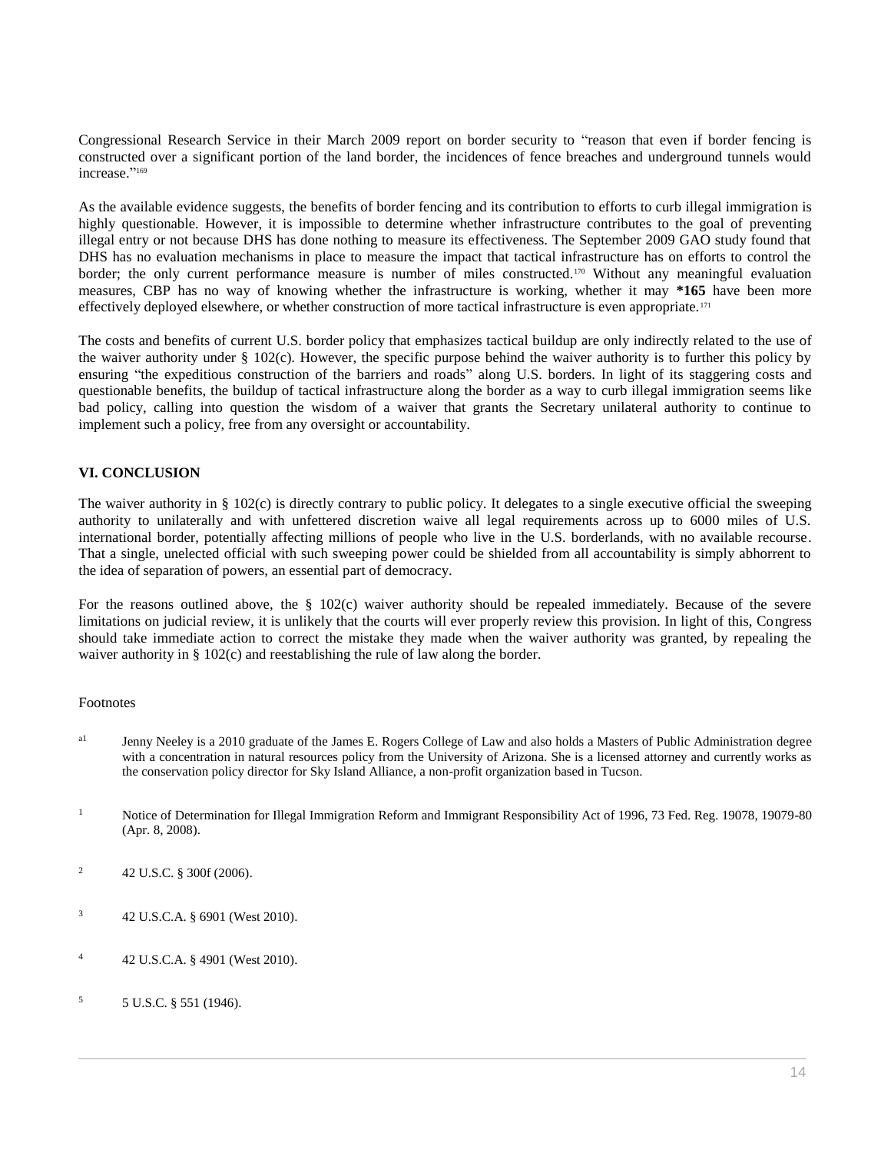Congressional Research Service in their March 2009 report on border security to "reason that even if border fencing is constructed over a significant portion of the land border, the incidences of fence breaches and underground tunnels would increase." 169

As the available evidence suggests, the benefits of border fencing and its contribution to efforts to curb illegal immigration is highly questionable. However, it is impossible to determine whether infrastructure contributes to the goal of preventing illegal entry or not because DHS has done nothing to measure its effectiveness. The September 2009 GAO study found that DHS has no evaluation mechanisms in place to measure the impact that tactical infrastructure has on efforts to control the border; the only current performance measure is number of miles constructed.<sup>170</sup> Without any meaningful evaluation measures, CBP has no way of knowing whether the infrastructure is working, whether it may **\*165** have been more effectively deployed elsewhere, or whether construction of more tactical infrastructure is even appropriate.<sup>171</sup>

The costs and benefits of current U.S. border policy that emphasizes tactical buildup are only indirectly related to the use of the waiver authority under  $\S$  102(c). However, the specific purpose behind the waiver authority is to further this policy by ensuring "the expeditious construction of the barriers and roads" along U.S. borders. In light of its staggering costs and questionable benefits, the buildup of tactical infrastructure along the border as a way to curb illegal immigration seems like bad policy, calling into question the wisdom of a waiver that grants the Secretary unilateral authority to continue to implement such a policy, free from any oversight or accountability.

# **VI. CONCLUSION**

The waiver authority in § 102(c) is directly contrary to public policy. It delegates to a single executive official the sweeping authority to unilaterally and with unfettered discretion waive all legal requirements across up to 6000 miles of U.S. international border, potentially affecting millions of people who live in the U.S. borderlands, with no available recourse. That a single, unelected official with such sweeping power could be shielded from all accountability is simply abhorrent to the idea of separation of powers, an essential part of democracy.

For the reasons outlined above, the § 102(c) waiver authority should be repealed immediately. Because of the severe limitations on judicial review, it is unlikely that the courts will ever properly review this provision. In light of this, Congress should take immediate action to correct the mistake they made when the waiver authority was granted, by repealing the waiver authority in § 102(c) and reestablishing the rule of law along the border.

#### Footnotes

- <sup>a1</sup> Jenny Neeley is a 2010 graduate of the James E. Rogers College of Law and also holds a Masters of Public Administration degree with a concentration in natural resources policy from the University of Arizona. She is a licensed attorney and currently works as the conservation policy director for Sky Island Alliance, a non-profit organization based in Tucson.
- <sup>1</sup> Notice of Determination for Illegal Immigration Reform and Immigrant Responsibility Act of 1996, 73 Fed. Reg. 19078, 19079-80 [\(Apr. 8, 2008\).](http://www.westlaw.com/Link/Document/FullText?findType=l&pubNum=0001037&cite=UUID(ICC976AD0055411DDA701E01CEF94F8BC)&originatingDoc=I0ecc829f2df011e18b05fdf15589d8e8&refType=CP&fi=co_pp_sp_1037_19078&originationContext=document&vr=3.0&rs=cblt1.0&transitionType=DocumentItem&contextData=(sc.Search)#co_pp_sp_1037_19078)
- <sup>2</sup> [42 U.S.C. § 300f \(2006\).](http://www.westlaw.com/Link/Document/FullText?findType=L&pubNum=1000546&cite=42USCAS300F&originatingDoc=I0ecc829f2df011e18b05fdf15589d8e8&refType=LQ&originationContext=document&vr=3.0&rs=cblt1.0&transitionType=DocumentItem&contextData=(sc.Search))
- <sup>3</sup> [42 U.S.C.A. § 6901 \(West 2010\).](http://www.westlaw.com/Link/Document/FullText?findType=L&pubNum=1000546&cite=42USCAS6901&originatingDoc=I0ecc829f2df011e18b05fdf15589d8e8&refType=LQ&originationContext=document&vr=3.0&rs=cblt1.0&transitionType=DocumentItem&contextData=(sc.Search))
- <sup>4</sup> [42 U.S.C.A. § 4901 \(West 2010\).](http://www.westlaw.com/Link/Document/FullText?findType=L&pubNum=1000546&cite=42USCAS4901&originatingDoc=I0ecc829f2df011e18b05fdf15589d8e8&refType=LQ&originationContext=document&vr=3.0&rs=cblt1.0&transitionType=DocumentItem&contextData=(sc.Search))
- $5 \text{ U.S.C. }$  \$ 551 (1946).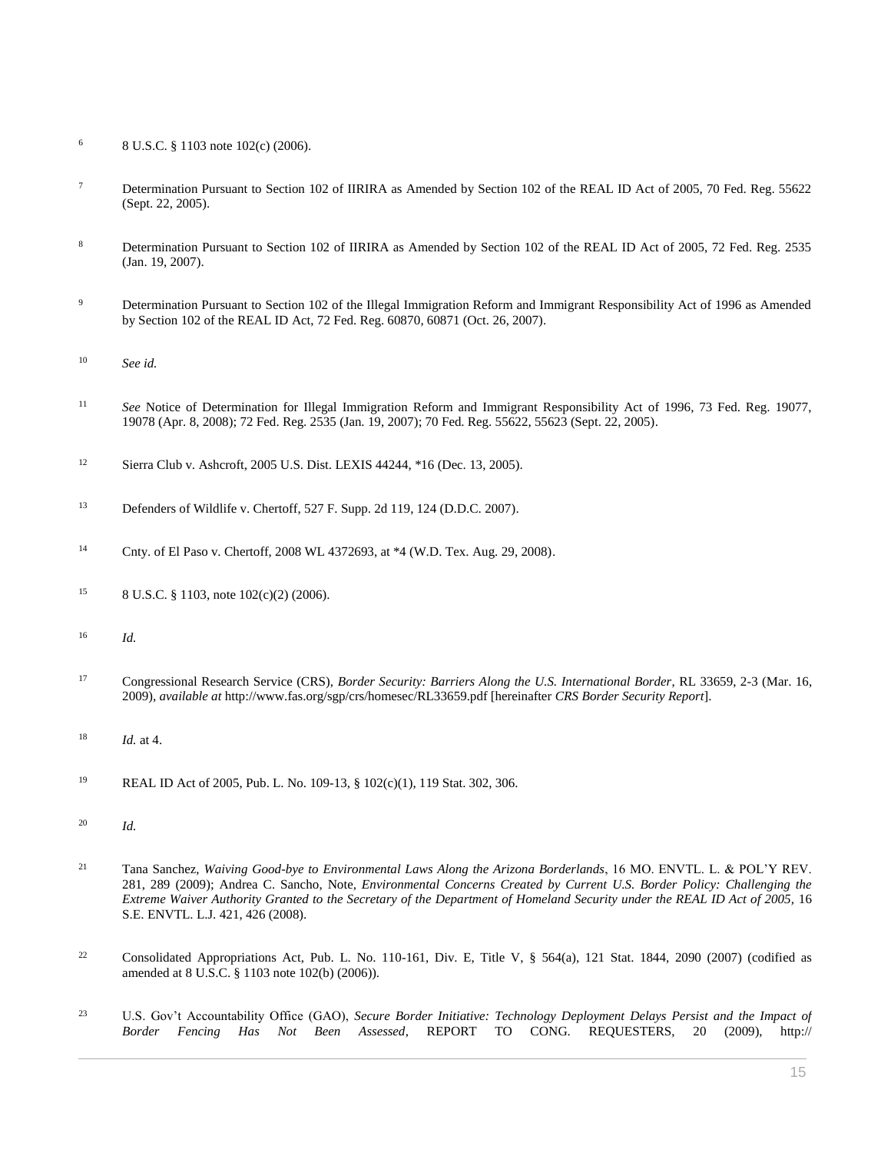- <sup>6</sup> [8 U.S.C. § 1103](http://www.westlaw.com/Link/Document/FullText?findType=L&pubNum=1000546&cite=8USCAS1103&originatingDoc=I0ecc829f2df011e18b05fdf15589d8e8&refType=LQ&originationContext=document&vr=3.0&rs=cblt1.0&transitionType=DocumentItem&contextData=(sc.Search)) note 102(c) (2006).
- <sup>7</sup> Determination Pursuant to Section 102 of IIRIRA as Amended by Section 102 of the REAL ID Act of 2005, 70 Fed. Reg. 55622 [\(Sept. 22, 2005\).](http://www.westlaw.com/Link/Document/FullText?findType=l&pubNum=0001037&cite=UUID(I934DF6A0405C11DAAECA8D28B8108CB8)&originatingDoc=I0ecc829f2df011e18b05fdf15589d8e8&refType=CP&fi=co_pp_sp_1037_55622&originationContext=document&vr=3.0&rs=cblt1.0&transitionType=DocumentItem&contextData=(sc.Search)#co_pp_sp_1037_55622)
- <sup>8</sup> Determination Pursuant to Section 102 of IIRIRA as Amended by Section 102 of the REAL ID Act of 2005, 72 Fed. Reg. 2535 [\(Jan. 19, 2007\).](http://www.westlaw.com/Link/Document/FullText?findType=l&pubNum=0001037&cite=UUID(I98AE7600A7AE11DB8E42B17BB7DCB050)&originatingDoc=I0ecc829f2df011e18b05fdf15589d8e8&refType=CP&fi=co_pp_sp_1037_2535&originationContext=document&vr=3.0&rs=cblt1.0&transitionType=DocumentItem&contextData=(sc.Search)#co_pp_sp_1037_2535)
- <sup>9</sup> Determination Pursuant to Section 102 of the Illegal Immigration Reform and Immigrant Responsibility Act of 1996 as Amended [by Section 102 of the REAL ID Act, 72 Fed. Reg. 60870, 60871 \(Oct. 26, 2007\).](http://www.westlaw.com/Link/Document/FullText?findType=l&pubNum=0001037&cite=UUID(I8AA27B3083AC11DCACD885EB8826409B)&originatingDoc=I0ecc829f2df011e18b05fdf15589d8e8&refType=CP&fi=co_pp_sp_1037_60870&originationContext=document&vr=3.0&rs=cblt1.0&transitionType=DocumentItem&contextData=(sc.Search)#co_pp_sp_1037_60870)
- <sup>10</sup> *See id.*
- <sup>11</sup> *See* Notice of [Determination for Illegal Immigration Reform and Immigrant Responsibility Act of 1996, 73 Fed. Reg. 19077,](http://www.westlaw.com/Link/Document/FullText?findType=l&pubNum=0001037&cite=UUID(ICC932510055411DDBB63C7326AECD36D)&originatingDoc=I0ecc829f2df011e18b05fdf15589d8e8&refType=CP&fi=co_pp_sp_1037_19077&originationContext=document&vr=3.0&rs=cblt1.0&transitionType=DocumentItem&contextData=(sc.Search)#co_pp_sp_1037_19077)  [19078 \(Apr. 8, 2008\);](http://www.westlaw.com/Link/Document/FullText?findType=l&pubNum=0001037&cite=UUID(ICC932510055411DDBB63C7326AECD36D)&originatingDoc=I0ecc829f2df011e18b05fdf15589d8e8&refType=CP&fi=co_pp_sp_1037_19077&originationContext=document&vr=3.0&rs=cblt1.0&transitionType=DocumentItem&contextData=(sc.Search)#co_pp_sp_1037_19077) [72 Fed. Reg. 2535 \(Jan. 19, 2007\);](http://www.westlaw.com/Link/Document/FullText?findType=l&pubNum=0001037&cite=UUID(I98AE7600A7AE11DB8E42B17BB7DCB050)&originatingDoc=I0ecc829f2df011e18b05fdf15589d8e8&refType=CP&fi=co_pp_sp_1037_2535&originationContext=document&vr=3.0&rs=cblt1.0&transitionType=DocumentItem&contextData=(sc.Search)#co_pp_sp_1037_2535) [70 Fed. Reg. 55622, 55623 \(Sept. 22, 2005\).](http://www.westlaw.com/Link/Document/FullText?findType=l&pubNum=0001037&cite=UUID(I934DF6A0405C11DAAECA8D28B8108CB8)&originatingDoc=I0ecc829f2df011e18b05fdf15589d8e8&refType=CP&fi=co_pp_sp_1037_55622&originationContext=document&vr=3.0&rs=cblt1.0&transitionType=DocumentItem&contextData=(sc.Search)#co_pp_sp_1037_55622)
- <sup>12</sup> Sierra Club v. Ashcroft, 2005 U.S. Dist. LEXIS 44244, \*16 (Dec. 13, 2005).
- <sup>13</sup> [Defenders of Wildlife v. Chertoff, 527 F. Supp. 2d 119, 124 \(D.D.C. 2007\).](http://www.westlaw.com/Link/Document/FullText?findType=Y&serNum=2014442085&pubNum=0004637&originatingDoc=I0ecc829f2df011e18b05fdf15589d8e8&refType=RP&fi=co_pp_sp_4637_124&originationContext=document&vr=3.0&rs=cblt1.0&transitionType=DocumentItem&contextData=(sc.Search)#co_pp_sp_4637_124)
- <sup>14</sup> [Cnty. of El Paso v. Chertoff, 2008 WL 4372693, at \\*4 \(W.D. Tex. Aug. 29, 2008\).](http://www.westlaw.com/Link/Document/FullText?findType=Y&serNum=2017149292&pubNum=0000999&originatingDoc=I0ecc829f2df011e18b05fdf15589d8e8&refType=RP&originationContext=document&vr=3.0&rs=cblt1.0&transitionType=DocumentItem&contextData=(sc.Search))
- <sup>15</sup> [8 U.S.C. § 1103,](http://www.westlaw.com/Link/Document/FullText?findType=L&pubNum=1000546&cite=8USCAS1103&originatingDoc=I0ecc829f2df011e18b05fdf15589d8e8&refType=LQ&originationContext=document&vr=3.0&rs=cblt1.0&transitionType=DocumentItem&contextData=(sc.Search)) note  $102(c)(2)(2006)$ .
- <sup>16</sup> *Id.*
- <sup>17</sup> Congressional Research Service (CRS), *Border Security: Barriers Along the U.S. International Border*, RL 33659, 2-3 (Mar. 16, 2009), *available at* http://www.fas.org/sgp/crs/homesec/RL33659.pdf [hereinafter *CRS Border Security Report*].
- <sup>18</sup> *Id.* at 4.
- <sup>19</sup> REAL ID Act of 2005, [Pub. L. No. 109-13,](http://www.westlaw.com/Link/Document/FullText?findType=l&pubNum=1077005&cite=UUID(I66E3B0E0C2-FE11D9B6ADD-A13E5756556)&originatingDoc=I0ecc829f2df011e18b05fdf15589d8e8&refType=SL&originationContext=document&vr=3.0&rs=cblt1.0&transitionType=DocumentItem&contextData=(sc.Search)) § 102(c)(1), 119 Stat. 302, 306.
- <sup>20</sup> *Id.*
- <sup>21</sup> Tana Sanchez, *[Waiving Good-bye to Environmental Laws Along the Arizona Borderlands](http://www.westlaw.com/Link/Document/FullText?findType=Y&serNum=0342881648&pubNum=0102091&originatingDoc=I0ecc829f2df011e18b05fdf15589d8e8&refType=LR&fi=co_pp_sp_102091_289&originationContext=document&vr=3.0&rs=cblt1.0&transitionType=DocumentItem&contextData=(sc.Search)#co_pp_sp_102091_289)*, 16 MO. ENVTL. L. & POL'Y REV. [281, 289 \(2009\);](http://www.westlaw.com/Link/Document/FullText?findType=Y&serNum=0342881648&pubNum=0102091&originatingDoc=I0ecc829f2df011e18b05fdf15589d8e8&refType=LR&fi=co_pp_sp_102091_289&originationContext=document&vr=3.0&rs=cblt1.0&transitionType=DocumentItem&contextData=(sc.Search)#co_pp_sp_102091_289) Andrea C. Sancho, Note*, Environmental Concerns Created by Current U.S. Border Policy: Challenging the Extreme Waiver Authority Granted to the Secretary of the Department of Homeland Security under the REAL ID Act of 2005,* 16 S.E. ENVTL. L.J. 421, 426 (2008).
- <sup>22</sup> Consolidated Appropriations Act, [Pub. L. No. 110-161,](http://www.westlaw.com/Link/Document/FullText?findType=l&pubNum=1077005&cite=UUID(IDCF10230BA-ED11DCA0C58-3528F499749)&originatingDoc=I0ecc829f2df011e18b05fdf15589d8e8&refType=SL&originationContext=document&vr=3.0&rs=cblt1.0&transitionType=DocumentItem&contextData=(sc.Search)) Div. E, Title V, § 564(a), 121 Stat. 1844, 2090 (2007) (codified as amended a[t 8 U.S.C. § 1103](http://www.westlaw.com/Link/Document/FullText?findType=L&pubNum=1000546&cite=8USCAS1103&originatingDoc=I0ecc829f2df011e18b05fdf15589d8e8&refType=LQ&originationContext=document&vr=3.0&rs=cblt1.0&transitionType=DocumentItem&contextData=(sc.Search)) note 102(b) (2006)).
- <sup>23</sup> U.S. Gov't Accountability Office (GAO), *Secure Border Initiative: Technology Deployment Delays Persist and the Impact of*  Border Fencing Has Not Been Assessed, REPORT TO CONG. REQUESTERS, 20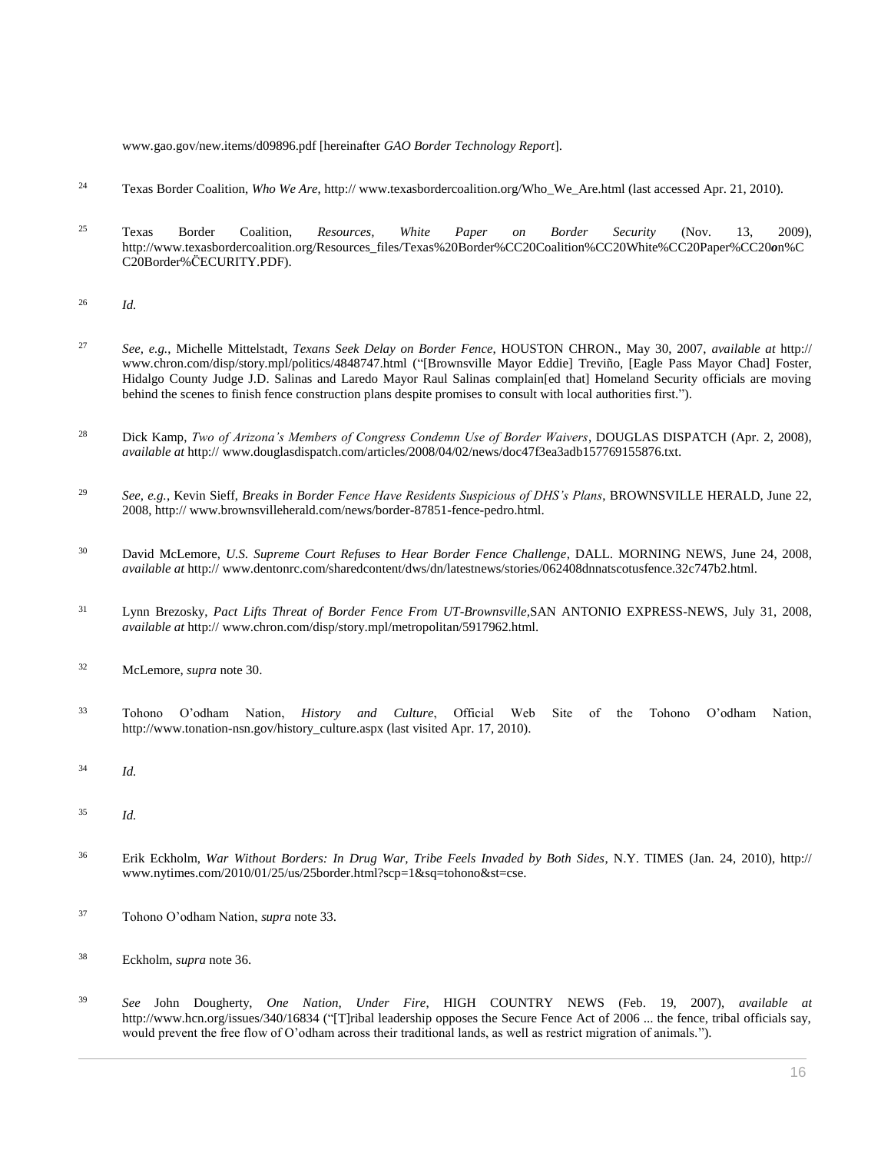www.gao.gov/new.items/d09896.pdf [hereinafter *GAO Border Technology Report*].

- <sup>24</sup> Texas Border Coalition, *Who We Are*, http:// www.texasbordercoalition.org/Who\_We\_Are.html (last accessed Apr. 21, 2010).
- <sup>25</sup> Texas Border Coalition, *Resources, White Paper on Border Security* (Nov. 13, 2009), http://www.texasbordercoalition.org/Resources\_files/Texas%20Border%CC20Coalition%CC20White%CC20Paper%CC20*o*n%C C20Border%C̈ECURITY.PDF).
- <sup>26</sup> *Id.*
- <sup>27</sup> *See, e.g.*, Michelle Mittelstadt, *Texans Seek Delay on Border Fence*, HOUSTON CHRON., May 30, 2007, *available at* http:// www.chron.com/disp/story.mpl/politics/4848747.html ("[Brownsville Mayor Eddie] Treviño, [Eagle Pass Mayor Chad] Foster, Hidalgo County Judge J.D. Salinas and Laredo Mayor Raul Salinas complain[ed that] Homeland Security officials are moving behind the scenes to finish fence construction plans despite promises to consult with local authorities first.").
- <sup>28</sup> Dick Kamp, *Two of Arizona's Members of Congress Condemn Use of Border Waivers*, DOUGLAS DISPATCH (Apr. 2, 2008), *available at* http:// www.douglasdispatch.com/articles/2008/04/02/news/doc47f3ea3adb157769155876.txt.
- <sup>29</sup> *See, e.g.*, Kevin Sieff, *Breaks in Border Fence Have Residents Suspicious of DHS's Plans*, BROWNSVILLE HERALD, June 22, 2008, http:// www.brownsvilleherald.com/news/border-87851-fence-pedro.html.
- <sup>30</sup> David McLemore, *U.S. Supreme Court Refuses to Hear Border Fence Challenge*, DALL. MORNING NEWS, June 24, 2008, *available at* http:// www.dentonrc.com/sharedcontent/dws/dn/latestnews/stories/062408dnnatscotusfence.32c747b2.html.
- <sup>31</sup> Lynn Brezosky, *Pact Lifts Threat of Border Fence From UT-Brownsville,*SAN ANTONIO EXPRESS-NEWS, July 31, 2008, *available at* http:// www.chron.com/disp/story.mpl/metropolitan/5917962.html.
- <sup>32</sup> McLemore, *supra* note 30.
- <sup>33</sup> Tohono O'odham Nation, *History and Culture*, Official Web Site of the Tohono O'odham Nation, http://www.tonation-nsn.gov/history\_culture.aspx (last visited Apr. 17, 2010).
- <sup>34</sup> *Id.*
- <sup>35</sup> *Id.*
- <sup>36</sup> Erik Eckholm, *War Without Borders: In Drug War, Tribe Feels Invaded by Both Sides*, N.Y. TIMES (Jan. 24, 2010), http:// www.nytimes.com/2010/01/25/us/25border.html?scp=1&sq=tohono&st=cse.
- <sup>37</sup> Tohono O'odham Nation, *supra* note 33.
- <sup>38</sup> Eckholm, *supra* note 36.
- <sup>39</sup> *See* John Dougherty, *One Nation, Under Fire*, HIGH COUNTRY NEWS (Feb. 19, 2007), *available at* http://www.hcn.org/issues/340/16834 ("[T]ribal leadership opposes the Secure Fence Act of 2006 ... the fence, tribal officials say, would prevent the free flow of O'odham across their traditional lands, as well as restrict migration of animals.").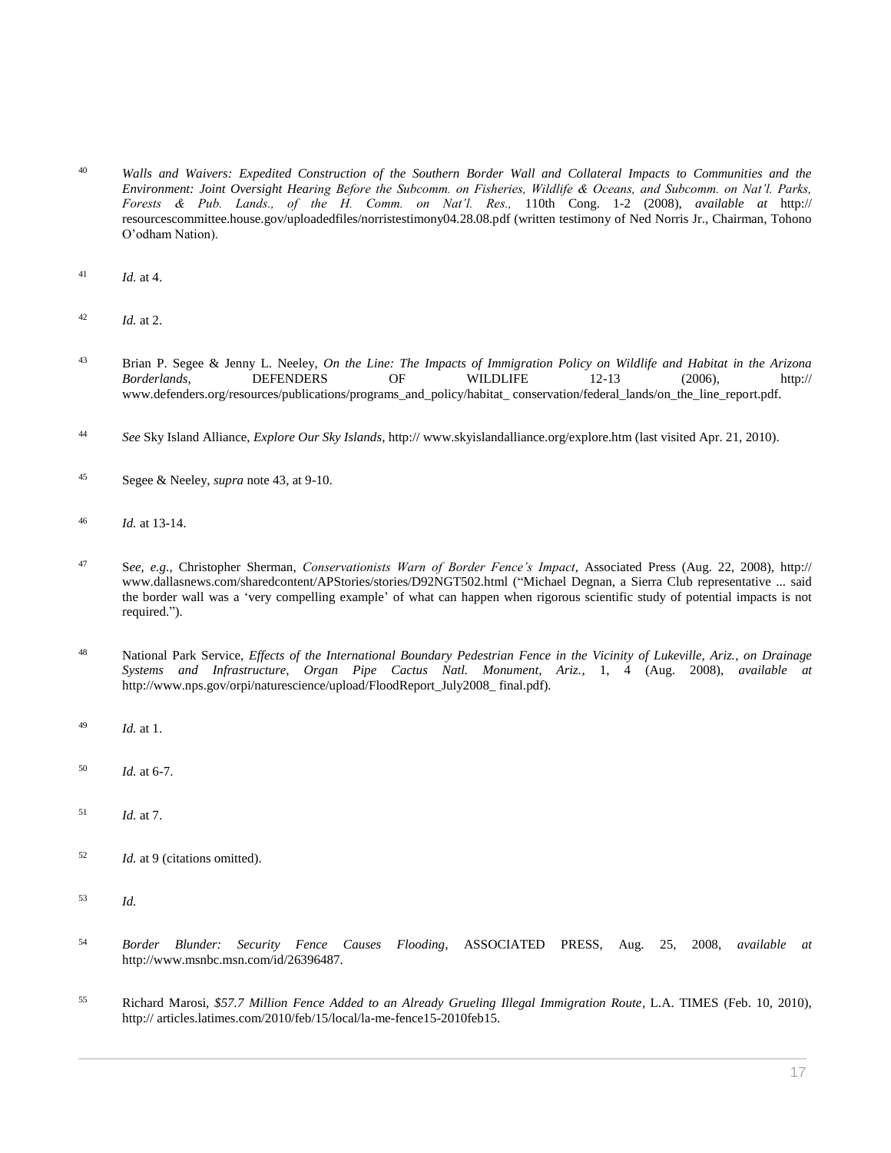- <sup>40</sup> *Walls and Waivers: Expedited Construction of the Southern Border Wall and Collateral Impacts to Communities and the Environment: Joint Oversight Hearing Before the Subcomm. on Fisheries, Wildlife & Oceans, and Subcomm. on Nat'l. Parks, Forests & Pub. Lands., of the H. Comm. on Nat'l. Res.,* 110th Cong. 1-2 (2008), *available at* http:// resourcescommittee.house.gov/uploadedfiles/norristestimony04.28.08.pdf (written testimony of Ned Norris Jr., Chairman, Tohono O'odham Nation).
- $^{41}$  *Id.* at 4.
- <sup>42</sup> *Id.* at 2.
- <sup>43</sup> Brian P. Segee & Jenny L. Neeley, *On the Line: The Impacts of Immigration Policy on Wildlife and Habitat in the Arizona Borderlands*, DEFENDERS OF WILDLIFE 12-13 (2006), http:// www.defenders.org/resources/publications/programs\_and\_policy/habitat\_ conservation/federal\_lands/on\_the\_line\_report.pdf.
- <sup>44</sup> *See* Sky Island Alliance, *Explore Our Sky Islands*, http:// www.skyislandalliance.org/explore.htm (last visited Apr. 21, 2010).
- <sup>45</sup> Segee & Neeley, *supra* note 43, at 9-10.
- <sup>46</sup> *Id.* at 13-14.
- <sup>47</sup> S*ee, e.g.*, Christopher Sherman, *Conservationists Warn of Border Fence's Impact*, Associated Press (Aug. 22, 2008), http:// www.dallasnews.com/sharedcontent/APStories/stories/D92NGT502.html ("Michael Degnan, a Sierra Club representative ... said the border wall was a 'very compelling example' of what can happen when rigorous scientific study of potential impacts is not required.").
- <sup>48</sup> National Park Service, *Effects of the International Boundary Pedestrian Fence in the Vicinity of Lukeville, Ariz., on Drainage Systems and Infrastructure, Organ Pipe Cactus Natl. Monument, Ariz.*, 1, 4 (Aug. 2008), *available at* http://www.nps.gov/orpi/naturescience/upload/FloodReport\_July2008\_ final.pdf).
- <sup>49</sup> *Id.* at 1.
- <sup>50</sup> *Id.* at 6-7.
- <sup>51</sup> *Id.* at 7.
- <sup>52</sup> *Id.* at 9 (citations omitted).
- <sup>53</sup> *Id.*
- <sup>54</sup> *Border Blunder: Security Fence Causes Flooding*, ASSOCIATED PRESS, Aug. 25, 2008, *available at* http://www.msnbc.msn.com/id/26396487.
- <sup>55</sup> Richard Marosi, *\$57.7 Million Fence Added to an Already Grueling Illegal Immigration Route*, L.A. TIMES (Feb. 10, 2010), http:// articles.latimes.com/2010/feb/15/local/la-me-fence15-2010feb15.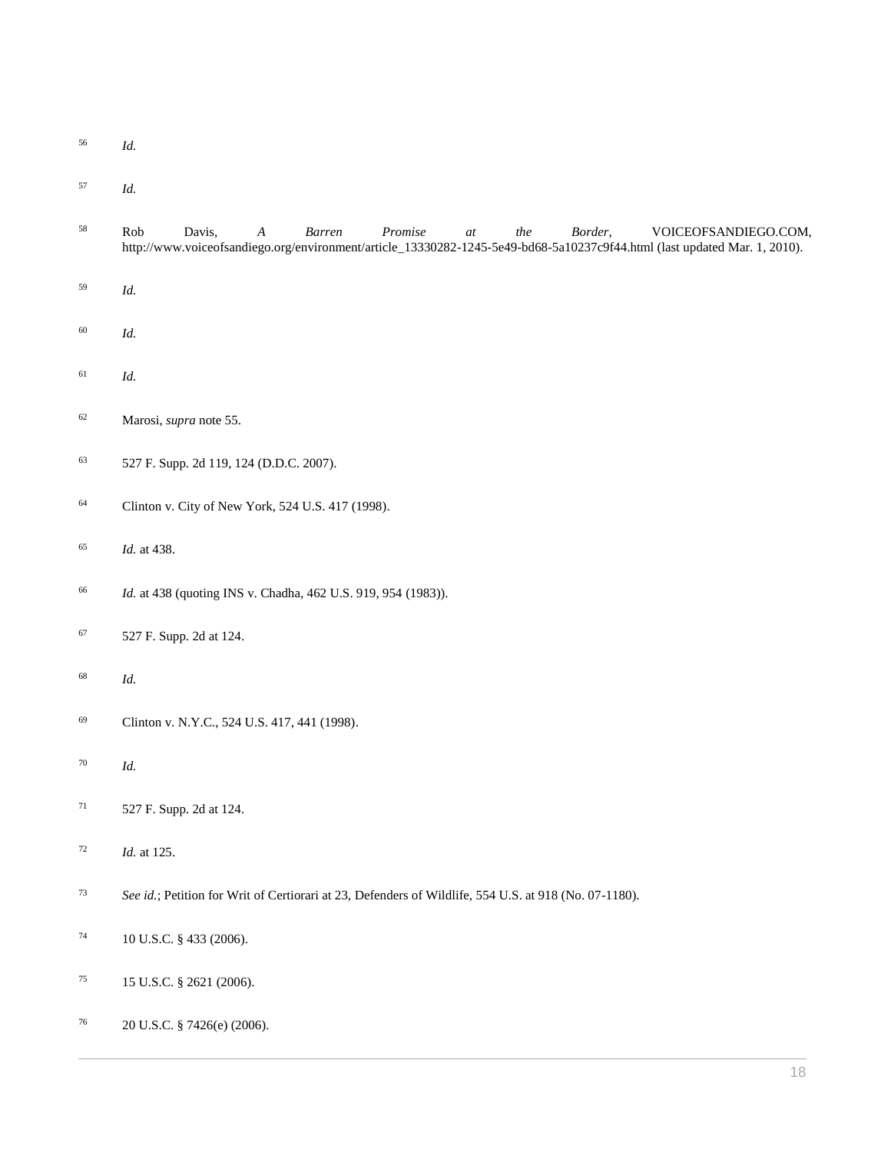- *Id.*
- *Id.*

| 58     | Davis,<br>$\boldsymbol{A}$<br>Barren<br>$Promise$<br>the<br>Border,<br>VOICEOFSANDIEGO.COM,<br>Rob<br>$at\,$<br>http://www.voiceofsandiego.org/environment/article_13330282-1245-5e49-bd68-5a10237c9f44.html (last updated Mar. 1, 2010). |
|--------|-------------------------------------------------------------------------------------------------------------------------------------------------------------------------------------------------------------------------------------------|
| 59     | Id.                                                                                                                                                                                                                                       |
| 60     | Id.                                                                                                                                                                                                                                       |
| 61     | Id.                                                                                                                                                                                                                                       |
| 62     | Marosi, supra note 55.                                                                                                                                                                                                                    |
| 63     | 527 F. Supp. 2d 119, 124 (D.D.C. 2007).                                                                                                                                                                                                   |
| 64     | Clinton v. City of New York, 524 U.S. 417 (1998).                                                                                                                                                                                         |
| 65     | Id. at 438.                                                                                                                                                                                                                               |
| 66     | Id. at 438 (quoting INS v. Chadha, 462 U.S. 919, 954 (1983)).                                                                                                                                                                             |
| 67     | 527 F. Supp. 2d at 124.                                                                                                                                                                                                                   |
| 68     | Id.                                                                                                                                                                                                                                       |
| 69     | Clinton v. N.Y.C., 524 U.S. 417, 441 (1998).                                                                                                                                                                                              |
| $70\,$ | Id.                                                                                                                                                                                                                                       |
| 71     | 527 F. Supp. 2d at 124.                                                                                                                                                                                                                   |
| 72     | Id. at 125.                                                                                                                                                                                                                               |
| 73     | See id.; Petition for Writ of Certiorari at 23, Defenders of Wildlife, 554 U.S. at 918 (No. 07-1180).                                                                                                                                     |
| 74     | 10 U.S.C. § 433 (2006).                                                                                                                                                                                                                   |
| 75     | 15 U.S.C. § 2621 (2006).                                                                                                                                                                                                                  |
| 76     | 20 U.S.C. § 7426(e) (2006).                                                                                                                                                                                                               |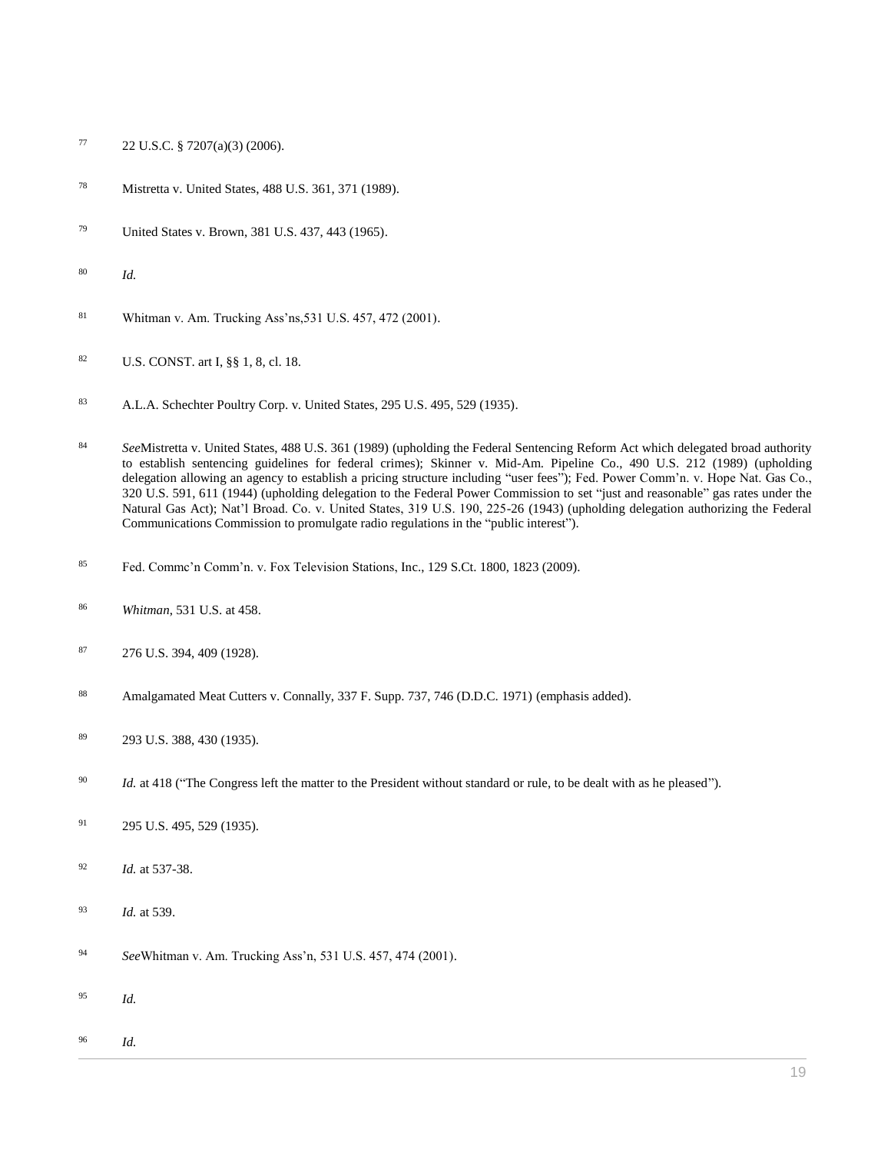- 77 22 U.S.C.  $\S$  7207(a)(3) (2006).
- [Mistretta v. United States, 488 U.S. 361, 371 \(1989\).](http://www.westlaw.com/Link/Document/FullText?findType=Y&serNum=1989010615&pubNum=0000780&originatingDoc=I0ecc829f2df011e18b05fdf15589d8e8&refType=RP&fi=co_pp_sp_780_371&originationContext=document&vr=3.0&rs=cblt1.0&transitionType=DocumentItem&contextData=(sc.Search)#co_pp_sp_780_371)
- [United States v. Brown, 381 U.S. 437, 443 \(1965\).](http://www.westlaw.com/Link/Document/FullText?findType=Y&serNum=1965125099&pubNum=0000780&originatingDoc=I0ecc829f2df011e18b05fdf15589d8e8&refType=RP&fi=co_pp_sp_780_443&originationContext=document&vr=3.0&rs=cblt1.0&transitionType=DocumentItem&contextData=(sc.Search)#co_pp_sp_780_443)
- *Id.*
- [Whitman v. Am. Trucking Ass'ns,531 U.S. 457, 472 \(2001\).](http://www.westlaw.com/Link/Document/FullText?findType=Y&serNum=2001175402&pubNum=0000780&originatingDoc=I0ecc829f2df011e18b05fdf15589d8e8&refType=RP&fi=co_pp_sp_780_472&originationContext=document&vr=3.0&rs=cblt1.0&transitionType=DocumentItem&contextData=(sc.Search)#co_pp_sp_780_472)
- [U.S. CONST. art I, §§ 1,](http://www.westlaw.com/Link/Document/FullText?findType=L&pubNum=1000583&cite=USCOARTIS1&originatingDoc=I0ecc829f2df011e18b05fdf15589d8e8&refType=LQ&originationContext=document&vr=3.0&rs=cblt1.0&transitionType=DocumentItem&contextData=(sc.Search)) [8, cl. 18.](http://www.westlaw.com/Link/Document/FullText?findType=L&pubNum=1000583&cite=USCOARTIS8CL18&originatingDoc=I0ecc829f2df011e18b05fdf15589d8e8&refType=LQ&originationContext=document&vr=3.0&rs=cblt1.0&transitionType=DocumentItem&contextData=(sc.Search))
- [A.L.A. Schechter Poultry Corp. v. United States, 295 U.S. 495, 529 \(1935\).](http://www.westlaw.com/Link/Document/FullText?findType=Y&serNum=1935123814&pubNum=0000780&originatingDoc=I0ecc829f2df011e18b05fdf15589d8e8&refType=RP&fi=co_pp_sp_780_529&originationContext=document&vr=3.0&rs=cblt1.0&transitionType=DocumentItem&contextData=(sc.Search)#co_pp_sp_780_529)
- *See*[Mistretta v. United States, 488 U.S. 361 \(1989\)](http://www.westlaw.com/Link/Document/FullText?findType=Y&serNum=1989010615&pubNum=0000780&originatingDoc=I0ecc829f2df011e18b05fdf15589d8e8&refType=RP&originationContext=document&vr=3.0&rs=cblt1.0&transitionType=DocumentItem&contextData=(sc.Search)) (upholding the Federal Sentencing Reform Act which delegated broad authority to establish sentencing guidelines for federal crimes); [Skinner v. Mid-Am. Pipeline Co., 490 U.S. 212 \(1989\)](http://www.westlaw.com/Link/Document/FullText?findType=Y&serNum=1989059601&pubNum=0000780&originatingDoc=I0ecc829f2df011e18b05fdf15589d8e8&refType=RP&originationContext=document&vr=3.0&rs=cblt1.0&transitionType=DocumentItem&contextData=(sc.Search)) (upholding delegation allowing an agency to establish a pricing structure including "user fees"); [Fed. Power Comm'n. v. Hope Nat. Gas Co.,](http://www.westlaw.com/Link/Document/FullText?findType=Y&serNum=1944115184&pubNum=0000780&originatingDoc=I0ecc829f2df011e18b05fdf15589d8e8&refType=RP&fi=co_pp_sp_780_611&originationContext=document&vr=3.0&rs=cblt1.0&transitionType=DocumentItem&contextData=(sc.Search)#co_pp_sp_780_611)  [320 U.S. 591, 611 \(1944\)](http://www.westlaw.com/Link/Document/FullText?findType=Y&serNum=1944115184&pubNum=0000780&originatingDoc=I0ecc829f2df011e18b05fdf15589d8e8&refType=RP&fi=co_pp_sp_780_611&originationContext=document&vr=3.0&rs=cblt1.0&transitionType=DocumentItem&contextData=(sc.Search)#co_pp_sp_780_611) (upholding delegation to the Federal Power Commission to set "just and reasonable" gas rates under the Natural Gas Act); [Nat'l Broad. Co. v. United States, 319 U.S. 190, 225-26 \(1943\)](http://www.westlaw.com/Link/Document/FullText?findType=Y&serNum=1943120664&pubNum=0000780&originatingDoc=I0ecc829f2df011e18b05fdf15589d8e8&refType=RP&fi=co_pp_sp_780_225&originationContext=document&vr=3.0&rs=cblt1.0&transitionType=DocumentItem&contextData=(sc.Search)#co_pp_sp_780_225) (upholding delegation authorizing the Federal Communications Commission to promulgate radio regulations in the "public interest").
- [Fed. Commc'n Comm'n. v. Fox Television Stations, Inc., 129 S.Ct. 1800, 1823 \(2009\).](http://www.westlaw.com/Link/Document/FullText?findType=Y&serNum=2018684429&pubNum=0000708&originatingDoc=I0ecc829f2df011e18b05fdf15589d8e8&refType=RP&fi=co_pp_sp_708_1823&originationContext=document&vr=3.0&rs=cblt1.0&transitionType=DocumentItem&contextData=(sc.Search)#co_pp_sp_708_1823)
- *Whitman*[, 531 U.S. at 458.](http://www.westlaw.com/Link/Document/FullText?findType=Y&serNum=2001175402&pubNum=0000780&originatingDoc=I0ecc829f2df011e18b05fdf15589d8e8&refType=RP&fi=co_pp_sp_780_458&originationContext=document&vr=3.0&rs=cblt1.0&transitionType=DocumentItem&contextData=(sc.Search)#co_pp_sp_780_458)
- [276 U.S. 394, 409 \(1928\).](http://www.westlaw.com/Link/Document/FullText?findType=Y&serNum=1928126227&pubNum=0000780&originatingDoc=I0ecc829f2df011e18b05fdf15589d8e8&refType=RP&fi=co_pp_sp_780_409&originationContext=document&vr=3.0&rs=cblt1.0&transitionType=DocumentItem&contextData=(sc.Search)#co_pp_sp_780_409)
- [Amalgamated Meat Cutters v. Connally, 337 F. Supp. 737, 746 \(D.D.C. 1971\)](http://www.westlaw.com/Link/Document/FullText?findType=Y&serNum=1971107857&pubNum=0000345&originatingDoc=I0ecc829f2df011e18b05fdf15589d8e8&refType=RP&fi=co_pp_sp_345_746&originationContext=document&vr=3.0&rs=cblt1.0&transitionType=DocumentItem&contextData=(sc.Search)#co_pp_sp_345_746) (emphasis added).
- [293 U.S. 388, 430 \(1935\).](http://www.westlaw.com/Link/Document/FullText?findType=Y&serNum=1935124094&pubNum=0000780&originatingDoc=I0ecc829f2df011e18b05fdf15589d8e8&refType=RP&fi=co_pp_sp_780_430&originationContext=document&vr=3.0&rs=cblt1.0&transitionType=DocumentItem&contextData=(sc.Search)#co_pp_sp_780_430)
- <sup>90</sup> *Id.* [at 418](http://www.westlaw.com/Link/Document/FullText?findType=Y&serNum=1935124094&pubNum=0000780&originatingDoc=I0ecc829f2df011e18b05fdf15589d8e8&refType=RP&fi=co_pp_sp_780_418&originationContext=document&vr=3.0&rs=cblt1.0&transitionType=DocumentItem&contextData=(sc.Search)#co_pp_sp_780_418) ("The Congress left the matter to the President without standard or rule, to be dealt with as he pleased").
- [295 U.S. 495, 529 \(1935\).](http://www.westlaw.com/Link/Document/FullText?findType=Y&serNum=1935123814&pubNum=0000780&originatingDoc=I0ecc829f2df011e18b05fdf15589d8e8&refType=RP&fi=co_pp_sp_780_529&originationContext=document&vr=3.0&rs=cblt1.0&transitionType=DocumentItem&contextData=(sc.Search)#co_pp_sp_780_529)
- *Id.* [at 537-38.](http://www.westlaw.com/Link/Document/FullText?findType=Y&serNum=1935123814&originatingDoc=I0ecc829f2df011e18b05fdf15589d8e8&refType=RP&originationContext=document&vr=3.0&rs=cblt1.0&transitionType=DocumentItem&contextData=(sc.Search))
- *Id.* [at 539.](http://www.westlaw.com/Link/Document/FullText?findType=Y&serNum=1935123814&originatingDoc=I0ecc829f2df011e18b05fdf15589d8e8&refType=RP&originationContext=document&vr=3.0&rs=cblt1.0&transitionType=DocumentItem&contextData=(sc.Search))
- *See*[Whitman v. Am. Trucking Ass'n, 531 U.S. 457, 474 \(2001\).](http://www.westlaw.com/Link/Document/FullText?findType=Y&serNum=2001175402&pubNum=0000780&originatingDoc=I0ecc829f2df011e18b05fdf15589d8e8&refType=RP&fi=co_pp_sp_780_474&originationContext=document&vr=3.0&rs=cblt1.0&transitionType=DocumentItem&contextData=(sc.Search)#co_pp_sp_780_474)
- *Id.*
- *Id.*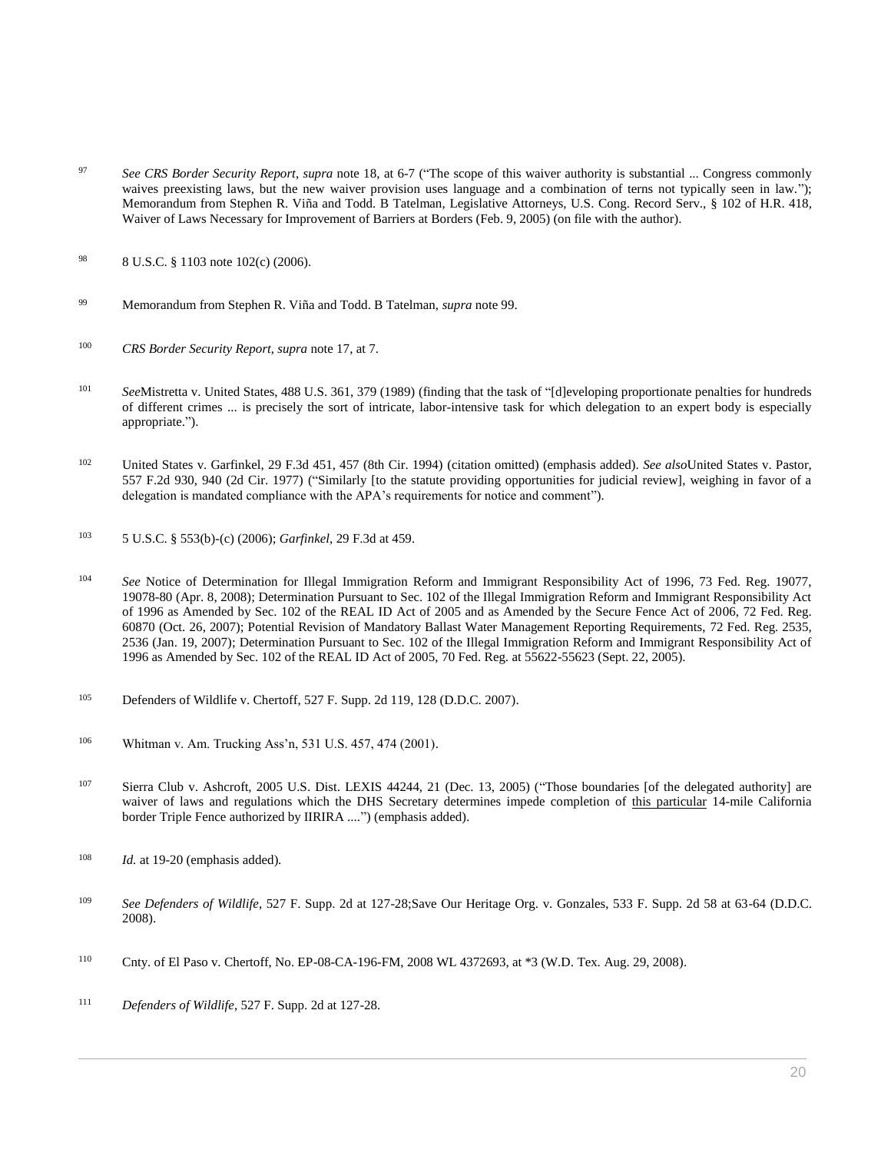- <sup>97</sup> *See CRS Border Security Report*, *supra* note 18, at 6-7 ("The scope of this waiver authority is substantial ... Congress commonly waives preexisting laws, but the new waiver provision uses language and a combination of terns not typically seen in law."); Memorandum from Stephen R. Viña and Todd. B Tatelman, Legislative Attorneys, U.S. Cong. Record Serv., § 102 of H.R. 418, Waiver of Laws Necessary for Improvement of Barriers at Borders (Feb. 9, 2005) (on file with the author).
- 98 [8 U.S.C. § 1103](http://www.westlaw.com/Link/Document/FullText?findType=L&pubNum=1000546&cite=8USCAS1103&originatingDoc=I0ecc829f2df011e18b05fdf15589d8e8&refType=LQ&originationContext=document&vr=3.0&rs=cblt1.0&transitionType=DocumentItem&contextData=(sc.Search)) note 102(c) (2006).
- <sup>99</sup> Memorandum from Stephen R. Viña and Todd. B Tatelman, *supra* note 99.
- <sup>100</sup> *CRS Border Security Report*, *supra* note 17, at 7.
- <sup>101</sup> *See*[Mistretta v. United States, 488 U.S. 361, 379 \(1989\)](http://www.westlaw.com/Link/Document/FullText?findType=Y&serNum=1989010615&pubNum=0000780&originatingDoc=I0ecc829f2df011e18b05fdf15589d8e8&refType=RP&fi=co_pp_sp_780_379&originationContext=document&vr=3.0&rs=cblt1.0&transitionType=DocumentItem&contextData=(sc.Search)#co_pp_sp_780_379) (finding that the task of "[d]eveloping proportionate penalties for hundreds of different crimes ... is precisely the sort of intricate, labor-intensive task for which delegation to an expert body is especially appropriate.").
- <sup>102</sup> [United States v. Garfinkel, 29 F.3d 451, 457 \(8th Cir. 1994\)](http://www.westlaw.com/Link/Document/FullText?findType=Y&serNum=1994148950&pubNum=0000506&originatingDoc=I0ecc829f2df011e18b05fdf15589d8e8&refType=RP&fi=co_pp_sp_506_457&originationContext=document&vr=3.0&rs=cblt1.0&transitionType=DocumentItem&contextData=(sc.Search)#co_pp_sp_506_457) (citation omitted) (emphasis added). *See also*[United States v. Pastor,](http://www.westlaw.com/Link/Document/FullText?findType=Y&serNum=1977122767&pubNum=0000350&originatingDoc=I0ecc829f2df011e18b05fdf15589d8e8&refType=RP&fi=co_pp_sp_350_940&originationContext=document&vr=3.0&rs=cblt1.0&transitionType=DocumentItem&contextData=(sc.Search)#co_pp_sp_350_940)  [557 F.2d 930, 940 \(2d Cir. 1977\)](http://www.westlaw.com/Link/Document/FullText?findType=Y&serNum=1977122767&pubNum=0000350&originatingDoc=I0ecc829f2df011e18b05fdf15589d8e8&refType=RP&fi=co_pp_sp_350_940&originationContext=document&vr=3.0&rs=cblt1.0&transitionType=DocumentItem&contextData=(sc.Search)#co_pp_sp_350_940) ("Similarly [to the statute providing opportunities for judicial review], weighing in favor of a delegation is mandated compliance with the APA's requirements for notice and comment").
- <sup>103</sup> [5 U.S.C. § 553\(b\)](http://www.westlaw.com/Link/Document/FullText?findType=L&pubNum=1000546&cite=5USCAS553&originatingDoc=I0ecc829f2df011e18b05fdf15589d8e8&refType=RB&originationContext=document&vr=3.0&rs=cblt1.0&transitionType=DocumentItem&contextData=(sc.Search)#co_pp_a83b000018c76)[-\(c\) \(2006\);](http://www.westlaw.com/Link/Document/FullText?findType=L&pubNum=1000546&cite=5USCAS553&originatingDoc=I0ecc829f2df011e18b05fdf15589d8e8&refType=RE&originationContext=document&vr=3.0&rs=cblt1.0&transitionType=DocumentItem&contextData=(sc.Search)#co_pp_4b24000003ba5) *Garfinkel*[, 29 F.3d at 459.](http://www.westlaw.com/Link/Document/FullText?findType=Y&serNum=1994148950&pubNum=0000506&originatingDoc=I0ecc829f2df011e18b05fdf15589d8e8&refType=RP&fi=co_pp_sp_506_459&originationContext=document&vr=3.0&rs=cblt1.0&transitionType=DocumentItem&contextData=(sc.Search)#co_pp_sp_506_459)
- <sup>104</sup> *See* Notice of [Determination for Illegal Immigration Reform and Immigrant Responsibility Act of 1996, 73 Fed. Reg. 19077,](http://www.westlaw.com/Link/Document/FullText?findType=l&pubNum=0001037&cite=UUID(ICC932510055411DDBB63C7326AECD36D)&originatingDoc=I0ecc829f2df011e18b05fdf15589d8e8&refType=CP&fi=co_pp_sp_1037_19077&originationContext=document&vr=3.0&rs=cblt1.0&transitionType=DocumentItem&contextData=(sc.Search)#co_pp_sp_1037_19077)  [19078-80 \(Apr. 8, 2008\);](http://www.westlaw.com/Link/Document/FullText?findType=l&pubNum=0001037&cite=UUID(ICC932510055411DDBB63C7326AECD36D)&originatingDoc=I0ecc829f2df011e18b05fdf15589d8e8&refType=CP&fi=co_pp_sp_1037_19077&originationContext=document&vr=3.0&rs=cblt1.0&transitionType=DocumentItem&contextData=(sc.Search)#co_pp_sp_1037_19077) [Determination Pursuant to Sec. 102 of the Illegal Immigration Reform and Immigrant Responsibility Act](http://www.westlaw.com/Link/Document/FullText?findType=l&pubNum=0001037&cite=UUID(I8AA27B3083AC11DCACD885EB8826409B)&originatingDoc=I0ecc829f2df011e18b05fdf15589d8e8&refType=CP&fi=co_pp_sp_1037_60870&originationContext=document&vr=3.0&rs=cblt1.0&transitionType=DocumentItem&contextData=(sc.Search)#co_pp_sp_1037_60870)  [of 1996 as Amended by Sec. 102 of the REAL ID Act of 2005 and as Amended by the Secure Fence Act of 2006, 72 Fed. Reg.](http://www.westlaw.com/Link/Document/FullText?findType=l&pubNum=0001037&cite=UUID(I8AA27B3083AC11DCACD885EB8826409B)&originatingDoc=I0ecc829f2df011e18b05fdf15589d8e8&refType=CP&fi=co_pp_sp_1037_60870&originationContext=document&vr=3.0&rs=cblt1.0&transitionType=DocumentItem&contextData=(sc.Search)#co_pp_sp_1037_60870)  [60870 \(Oct. 26, 2007\);](http://www.westlaw.com/Link/Document/FullText?findType=l&pubNum=0001037&cite=UUID(I8AA27B3083AC11DCACD885EB8826409B)&originatingDoc=I0ecc829f2df011e18b05fdf15589d8e8&refType=CP&fi=co_pp_sp_1037_60870&originationContext=document&vr=3.0&rs=cblt1.0&transitionType=DocumentItem&contextData=(sc.Search)#co_pp_sp_1037_60870) Potential Revision of Mandatory Ballast Water Management Reporting Requirements, [72 Fed. Reg. 2535,](http://www.westlaw.com/Link/Document/FullText?findType=l&pubNum=0001037&cite=UUID(I98AE7600A7AE11DB8E42B17BB7DCB050)&originatingDoc=I0ecc829f2df011e18b05fdf15589d8e8&refType=CP&fi=co_pp_sp_1037_2535&originationContext=document&vr=3.0&rs=cblt1.0&transitionType=DocumentItem&contextData=(sc.Search)#co_pp_sp_1037_2535)  [2536 \(Jan. 19, 2007\);](http://www.westlaw.com/Link/Document/FullText?findType=l&pubNum=0001037&cite=UUID(I98AE7600A7AE11DB8E42B17BB7DCB050)&originatingDoc=I0ecc829f2df011e18b05fdf15589d8e8&refType=CP&fi=co_pp_sp_1037_2535&originationContext=document&vr=3.0&rs=cblt1.0&transitionType=DocumentItem&contextData=(sc.Search)#co_pp_sp_1037_2535) Determination Pursuant to Sec. 102 of the Illegal Immigration Reform and Immigrant Responsibility Act of 1996 as Amended by Sec. 102 of the REAL ID Act of 2005[, 70 Fed. Reg. at 55622-55623 \(Sept. 22, 2005\).](http://www.westlaw.com/Link/Document/FullText?findType=l&pubNum=0001037&cite=UUID(I93420FC0405C11DAA009E92B16555DD2)&originatingDoc=I0ecc829f2df011e18b05fdf15589d8e8&refType=CP&fi=co_pp_sp_1037_55622&originationContext=document&vr=3.0&rs=cblt1.0&transitionType=DocumentItem&contextData=(sc.Search)#co_pp_sp_1037_55622)
- <sup>105</sup> [Defenders of Wildlife v. Chertoff, 527 F. Supp. 2d 119, 128 \(D.D.C. 2007\).](http://www.westlaw.com/Link/Document/FullText?findType=Y&serNum=2014442085&pubNum=0004637&originatingDoc=I0ecc829f2df011e18b05fdf15589d8e8&refType=RP&fi=co_pp_sp_4637_128&originationContext=document&vr=3.0&rs=cblt1.0&transitionType=DocumentItem&contextData=(sc.Search)#co_pp_sp_4637_128)
- <sup>106</sup> [Whitman v. Am. Trucking Ass'n, 531 U.S. 457, 474 \(2001\).](http://www.westlaw.com/Link/Document/FullText?findType=Y&serNum=2001175402&pubNum=0000780&originatingDoc=I0ecc829f2df011e18b05fdf15589d8e8&refType=RP&fi=co_pp_sp_780_474&originationContext=document&vr=3.0&rs=cblt1.0&transitionType=DocumentItem&contextData=(sc.Search)#co_pp_sp_780_474)
- <sup>107</sup> Sierra Club v. Ashcroft, 2005 U.S. Dist. LEXIS 44244, 21 (Dec. 13, 2005) ("Those boundaries [of the delegated authority] are waiver of laws and regulations which the DHS Secretary determines impede completion of this particular 14-mile California border Triple Fence authorized by IIRIRA ....") (emphasis added).
- <sup>108</sup> *Id.* at 19-20 (emphasis added).
- <sup>109</sup> *See Defenders of Wildlife*[, 527 F. Supp. 2d at 127-28;](http://www.westlaw.com/Link/Document/FullText?findType=Y&serNum=2014442085&pubNum=4637&originatingDoc=I0ecc829f2df011e18b05fdf15589d8e8&refType=RP&fi=co_pp_sp_4637_127&originationContext=document&vr=3.0&rs=cblt1.0&transitionType=DocumentItem&contextData=(sc.Search)#co_pp_sp_4637_127)[Save Our Heritage Org. v. Gonzales, 533 F. Supp. 2d 58 at 63-64 \(D.D.C.](http://www.westlaw.com/Link/Document/FullText?findType=Y&serNum=2015111426&pubNum=0004637&originatingDoc=I0ecc829f2df011e18b05fdf15589d8e8&refType=RP&fi=co_pp_sp_4637_63&originationContext=document&vr=3.0&rs=cblt1.0&transitionType=DocumentItem&contextData=(sc.Search)#co_pp_sp_4637_63)  [2008\).](http://www.westlaw.com/Link/Document/FullText?findType=Y&serNum=2015111426&pubNum=0004637&originatingDoc=I0ecc829f2df011e18b05fdf15589d8e8&refType=RP&fi=co_pp_sp_4637_63&originationContext=document&vr=3.0&rs=cblt1.0&transitionType=DocumentItem&contextData=(sc.Search)#co_pp_sp_4637_63)
- <sup>110</sup> [Cnty. of El Paso v. Chertoff, No. EP-08-CA-196-FM, 2008 WL 4372693, at \\*3 \(W.D. Tex. Aug. 29, 2008\).](http://www.westlaw.com/Link/Document/FullText?findType=Y&serNum=2017149292&pubNum=0000999&originatingDoc=I0ecc829f2df011e18b05fdf15589d8e8&refType=RP&originationContext=document&vr=3.0&rs=cblt1.0&transitionType=DocumentItem&contextData=(sc.Search))
- <sup>111</sup> *Defenders of Wildlife*[, 527 F. Supp. 2d at 127-28.](http://www.westlaw.com/Link/Document/FullText?findType=Y&serNum=2014442085&pubNum=0004637&originatingDoc=I0ecc829f2df011e18b05fdf15589d8e8&refType=RP&fi=co_pp_sp_4637_127&originationContext=document&vr=3.0&rs=cblt1.0&transitionType=DocumentItem&contextData=(sc.Search)#co_pp_sp_4637_127)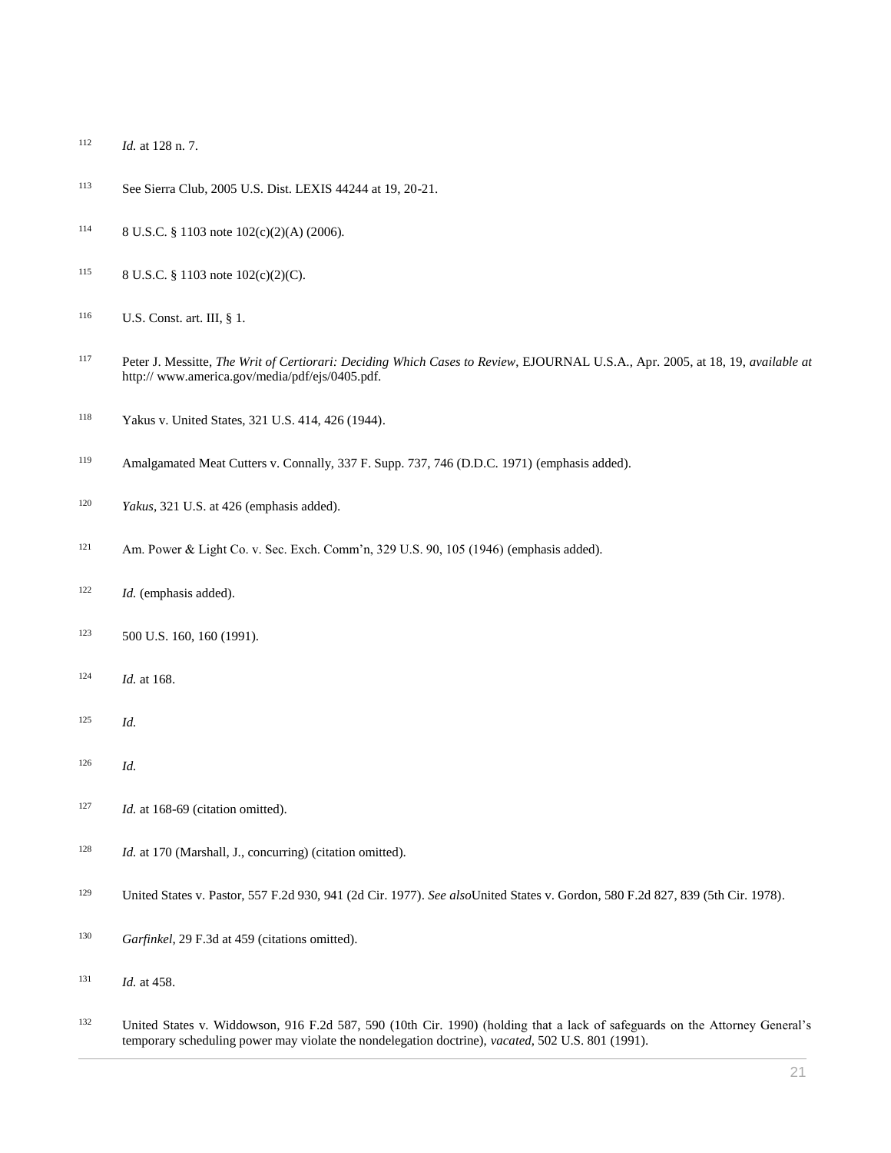- *Id.* [at 128 n. 7.](http://www.westlaw.com/Link/Document/FullText?findType=Y&serNum=2014442085&originatingDoc=I0ecc829f2df011e18b05fdf15589d8e8&refType=RP&originationContext=document&vr=3.0&rs=cblt1.0&transitionType=DocumentItem&contextData=(sc.Search))
- See Sierra Club, 2005 U.S. Dist. LEXIS 44244 at 19, 20-21.
- [8 U.S.C. § 1103](http://www.westlaw.com/Link/Document/FullText?findType=L&pubNum=1000546&cite=8USCAS1103&originatingDoc=I0ecc829f2df011e18b05fdf15589d8e8&refType=LQ&originationContext=document&vr=3.0&rs=cblt1.0&transitionType=DocumentItem&contextData=(sc.Search)) note 102(c)(2)(A) (2006).
- [8 U.S.C. § 1103](http://www.westlaw.com/Link/Document/FullText?findType=L&pubNum=1000546&cite=8USCAS1103&originatingDoc=I0ecc829f2df011e18b05fdf15589d8e8&refType=LQ&originationContext=document&vr=3.0&rs=cblt1.0&transitionType=DocumentItem&contextData=(sc.Search)) note 102(c)(2)(C).
- [U.S. Const. art. III, § 1.](http://www.westlaw.com/Link/Document/FullText?findType=L&pubNum=1000583&cite=USCOARTIIIS1&originatingDoc=I0ecc829f2df011e18b05fdf15589d8e8&refType=LQ&originationContext=document&vr=3.0&rs=cblt1.0&transitionType=DocumentItem&contextData=(sc.Search))
- Peter J. Messitte, *The Writ of Certiorari: Deciding Which Cases to Review*, EJOURNAL U.S.A., Apr. 2005, at 18, 19, *available at* http:// www.america.gov/media/pdf/ejs/0405.pdf.
- [Yakus v. United States, 321 U.S. 414, 426 \(1944\).](http://www.westlaw.com/Link/Document/FullText?findType=Y&serNum=1944118103&pubNum=0000780&originatingDoc=I0ecc829f2df011e18b05fdf15589d8e8&refType=RP&fi=co_pp_sp_780_426&originationContext=document&vr=3.0&rs=cblt1.0&transitionType=DocumentItem&contextData=(sc.Search)#co_pp_sp_780_426)
- [Amalgamated Meat Cutters v. Connally, 337 F. Supp. 737, 746 \(D.D.C. 1971\)](http://www.westlaw.com/Link/Document/FullText?findType=Y&serNum=1971107857&pubNum=0000345&originatingDoc=I0ecc829f2df011e18b05fdf15589d8e8&refType=RP&fi=co_pp_sp_345_746&originationContext=document&vr=3.0&rs=cblt1.0&transitionType=DocumentItem&contextData=(sc.Search)#co_pp_sp_345_746) (emphasis added).
- *Yakus*[, 321 U.S. at 426](http://www.westlaw.com/Link/Document/FullText?findType=Y&serNum=1944118103&pubNum=0000780&originatingDoc=I0ecc829f2df011e18b05fdf15589d8e8&refType=RP&fi=co_pp_sp_780_426&originationContext=document&vr=3.0&rs=cblt1.0&transitionType=DocumentItem&contextData=(sc.Search)#co_pp_sp_780_426) (emphasis added).
- [Am. Power & Light Co. v. Sec. Exch. Comm'n, 329 U.S. 90, 105 \(1946\)](http://www.westlaw.com/Link/Document/FullText?findType=Y&serNum=1946112654&pubNum=0000780&originatingDoc=I0ecc829f2df011e18b05fdf15589d8e8&refType=RP&fi=co_pp_sp_780_105&originationContext=document&vr=3.0&rs=cblt1.0&transitionType=DocumentItem&contextData=(sc.Search)#co_pp_sp_780_105) (emphasis added).
- *Id.* (emphasis added).
- [500 U.S. 160, 160 \(1991\).](http://www.westlaw.com/Link/Document/FullText?findType=Y&serNum=1991093588&pubNum=0000780&originatingDoc=I0ecc829f2df011e18b05fdf15589d8e8&refType=RP&originationContext=document&vr=3.0&rs=cblt1.0&transitionType=DocumentItem&contextData=(sc.Search))
- *Id.* [at 168.](http://www.westlaw.com/Link/Document/FullText?findType=Y&serNum=1991093588&originatingDoc=I0ecc829f2df011e18b05fdf15589d8e8&refType=RP&originationContext=document&vr=3.0&rs=cblt1.0&transitionType=DocumentItem&contextData=(sc.Search))
- *Id.*
- *Id.*
- <sup>127</sup> *Id.* at 168-69 (citation omitted).
- <sup>128</sup> *Id.* at 170 (Marshall, J., concurring) (citation omitted).
- [United States v. Pastor, 557 F.2d 930, 941 \(2d Cir. 1977\).](http://www.westlaw.com/Link/Document/FullText?findType=Y&serNum=1977122767&pubNum=0000350&originatingDoc=I0ecc829f2df011e18b05fdf15589d8e8&refType=RP&fi=co_pp_sp_350_941&originationContext=document&vr=3.0&rs=cblt1.0&transitionType=DocumentItem&contextData=(sc.Search)#co_pp_sp_350_941) *See also*[United States v. Gordon, 580 F.2d 827, 839 \(5th Cir. 1978\).](http://www.westlaw.com/Link/Document/FullText?findType=Y&serNum=1978119672&pubNum=0000350&originatingDoc=I0ecc829f2df011e18b05fdf15589d8e8&refType=RP&fi=co_pp_sp_350_839&originationContext=document&vr=3.0&rs=cblt1.0&transitionType=DocumentItem&contextData=(sc.Search)#co_pp_sp_350_839)
- *Garfinkel*[, 29 F.3d at 459](http://www.westlaw.com/Link/Document/FullText?findType=Y&serNum=1994148950&pubNum=0000506&originatingDoc=I0ecc829f2df011e18b05fdf15589d8e8&refType=RP&fi=co_pp_sp_506_459&originationContext=document&vr=3.0&rs=cblt1.0&transitionType=DocumentItem&contextData=(sc.Search)#co_pp_sp_506_459) (citations omitted).
- *Id.* [at 458.](http://www.westlaw.com/Link/Document/FullText?findType=Y&serNum=1994148950&originatingDoc=I0ecc829f2df011e18b05fdf15589d8e8&refType=RP&originationContext=document&vr=3.0&rs=cblt1.0&transitionType=DocumentItem&contextData=(sc.Search))
- [United States v. Widdowson, 916 F.2d 587, 590 \(10th](http://www.westlaw.com/Link/Document/FullText?findType=Y&serNum=1990146276&pubNum=0000350&originatingDoc=I0ecc829f2df011e18b05fdf15589d8e8&refType=RP&fi=co_pp_sp_350_590&originationContext=document&vr=3.0&rs=cblt1.0&transitionType=DocumentItem&contextData=(sc.Search)#co_pp_sp_350_590) Cir. 1990) (holding that a lack of safeguards on the Attorney General's temporary scheduling power may violate the nondelegation doctrine), *vacated*[, 502 U.S. 801 \(1991\).](http://www.westlaw.com/Link/Document/FullText?findType=Y&serNum=1991088925&pubNum=0000780&originatingDoc=I0ecc829f2df011e18b05fdf15589d8e8&refType=RP&originationContext=document&vr=3.0&rs=cblt1.0&transitionType=DocumentItem&contextData=(sc.Search))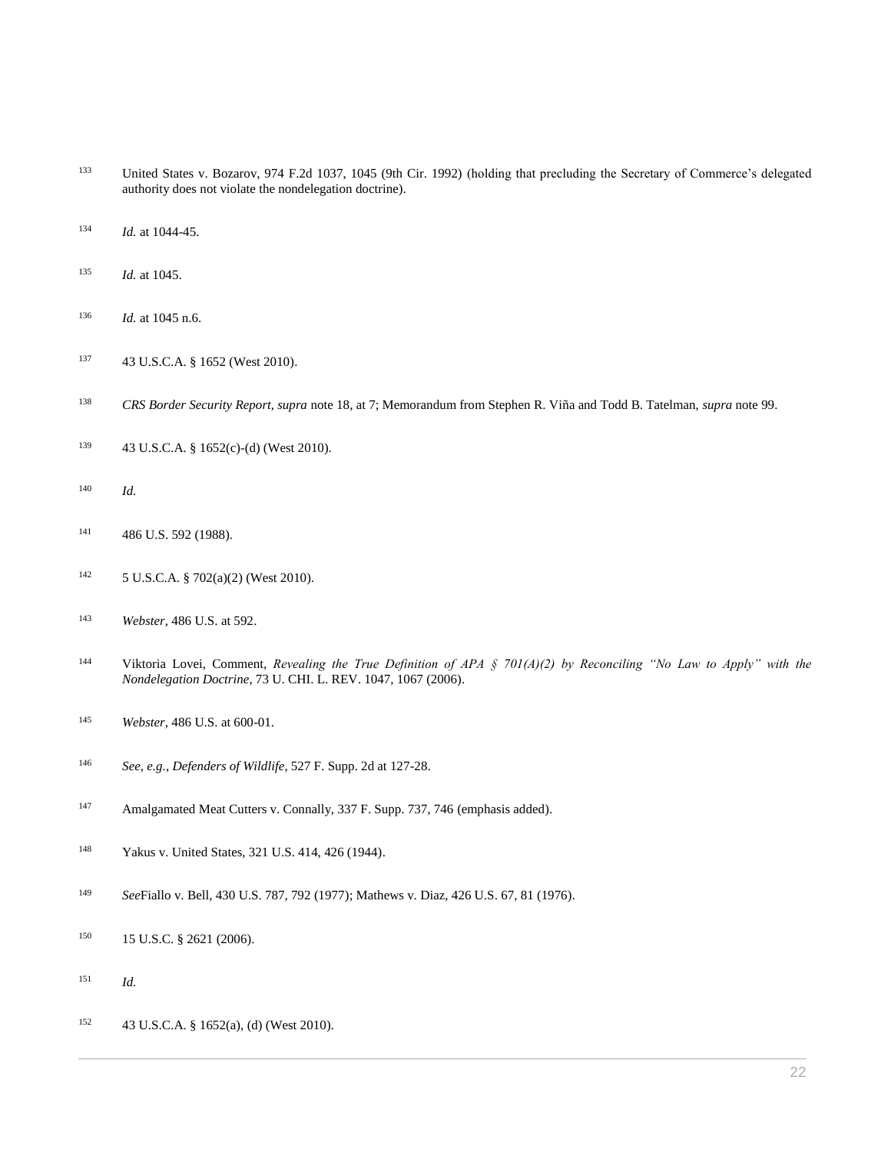- [United States v. Bozarov, 974 F.2d 1037, 1045 \(9th Cir. 1992\)](http://www.westlaw.com/Link/Document/FullText?findType=Y&serNum=1992141841&pubNum=0000350&originatingDoc=I0ecc829f2df011e18b05fdf15589d8e8&refType=RP&fi=co_pp_sp_350_1045&originationContext=document&vr=3.0&rs=cblt1.0&transitionType=DocumentItem&contextData=(sc.Search)#co_pp_sp_350_1045) (holding that precluding the Secretary of Commerce's delegated authority does not violate the nondelegation doctrine).
- *Id.* [at 1044-45.](http://www.westlaw.com/Link/Document/FullText?findType=Y&serNum=1992141841&originatingDoc=I0ecc829f2df011e18b05fdf15589d8e8&refType=RP&originationContext=document&vr=3.0&rs=cblt1.0&transitionType=DocumentItem&contextData=(sc.Search))
- *Id.* [at 1045.](http://www.westlaw.com/Link/Document/FullText?findType=Y&serNum=1992141841&originatingDoc=I0ecc829f2df011e18b05fdf15589d8e8&refType=RP&originationContext=document&vr=3.0&rs=cblt1.0&transitionType=DocumentItem&contextData=(sc.Search))
- *Id.* [at 1045 n.6.](http://www.westlaw.com/Link/Document/FullText?findType=Y&serNum=1992141841&originatingDoc=I0ecc829f2df011e18b05fdf15589d8e8&refType=RP&originationContext=document&vr=3.0&rs=cblt1.0&transitionType=DocumentItem&contextData=(sc.Search))
- [43 U.S.C.A. § 1652 \(West 2010\).](http://www.westlaw.com/Link/Document/FullText?findType=L&pubNum=1000546&cite=43USCAS1652&originatingDoc=I0ecc829f2df011e18b05fdf15589d8e8&refType=LQ&originationContext=document&vr=3.0&rs=cblt1.0&transitionType=DocumentItem&contextData=(sc.Search))
- *CRS Border Security Report, supra* note 18, at 7; Memorandum from Stephen R. Viña and Todd B. Tatelman, *supra* note 99.
- [43 U.S.C.A. § 1652\(c\)-](http://www.westlaw.com/Link/Document/FullText?findType=L&pubNum=1000546&cite=43USCAS1652&originatingDoc=I0ecc829f2df011e18b05fdf15589d8e8&refType=RB&originationContext=document&vr=3.0&rs=cblt1.0&transitionType=DocumentItem&contextData=(sc.Search)#co_pp_4b24000003ba5)[\(d\)](http://www.westlaw.com/Link/Document/FullText?findType=L&pubNum=1000546&cite=43USCAS1652&originatingDoc=I0ecc829f2df011e18b05fdf15589d8e8&refType=RE&originationContext=document&vr=3.0&rs=cblt1.0&transitionType=DocumentItem&contextData=(sc.Search)#co_pp_5ba1000067d06) (West 2010).
- *Id.*
- [486 U.S. 592 \(1988\).](http://www.westlaw.com/Link/Document/FullText?findType=Y&serNum=1988078090&pubNum=0000780&originatingDoc=I0ecc829f2df011e18b05fdf15589d8e8&refType=RP&originationContext=document&vr=3.0&rs=cblt1.0&transitionType=DocumentItem&contextData=(sc.Search))
- [5 U.S.C.A. § 702\(a\)\(2\)](http://www.westlaw.com/Link/Document/FullText?findType=L&pubNum=1000546&cite=5USCAS702&originatingDoc=I0ecc829f2df011e18b05fdf15589d8e8&refType=LQ&originationContext=document&vr=3.0&rs=cblt1.0&transitionType=DocumentItem&contextData=(sc.Search)) (West 2010).
- *Webster*[, 486 U.S. at 592.](http://www.westlaw.com/Link/Document/FullText?findType=Y&serNum=1988078090&pubNum=0000780&originatingDoc=I0ecc829f2df011e18b05fdf15589d8e8&refType=RP&fi=co_pp_sp_780_592&originationContext=document&vr=3.0&rs=cblt1.0&transitionType=DocumentItem&contextData=(sc.Search)#co_pp_sp_780_592)
- Viktoria Lovei, Comment, *[Revealing the True Definition of APA § 701\(A\)\(2\) by Reconciling "No Law to Apply" with the](http://www.westlaw.com/Link/Document/FullText?findType=Y&serNum=0327775811&pubNum=0003039&originatingDoc=I0ecc829f2df011e18b05fdf15589d8e8&refType=LR&fi=co_pp_sp_3039_1067&originationContext=document&vr=3.0&rs=cblt1.0&transitionType=DocumentItem&contextData=(sc.Search)#co_pp_sp_3039_1067)  Nondelegation Doctrine*[, 73 U. CHI. L. REV. 1047, 1067 \(2006\).](http://www.westlaw.com/Link/Document/FullText?findType=Y&serNum=0327775811&pubNum=0003039&originatingDoc=I0ecc829f2df011e18b05fdf15589d8e8&refType=LR&fi=co_pp_sp_3039_1067&originationContext=document&vr=3.0&rs=cblt1.0&transitionType=DocumentItem&contextData=(sc.Search)#co_pp_sp_3039_1067)
- *Webster,* [486 U.S. at 600-01.](http://www.westlaw.com/Link/Document/FullText?findType=Y&serNum=1988078090&pubNum=0000780&originatingDoc=I0ecc829f2df011e18b05fdf15589d8e8&refType=RP&fi=co_pp_sp_780_600&originationContext=document&vr=3.0&rs=cblt1.0&transitionType=DocumentItem&contextData=(sc.Search)#co_pp_sp_780_600)
- *See, e.g.*, *Defenders of Wildlife*[, 527 F. Supp. 2d at 127-28.](http://www.westlaw.com/Link/Document/FullText?findType=Y&serNum=2014442085&pubNum=0004637&originatingDoc=I0ecc829f2df011e18b05fdf15589d8e8&refType=RP&fi=co_pp_sp_4637_127&originationContext=document&vr=3.0&rs=cblt1.0&transitionType=DocumentItem&contextData=(sc.Search)#co_pp_sp_4637_127)
- [Amalgamated Meat Cutters v. Connally, 337 F. Supp. 737, 746](http://www.westlaw.com/Link/Document/FullText?findType=Y&serNum=1971107857&pubNum=0000345&originatingDoc=I0ecc829f2df011e18b05fdf15589d8e8&refType=RP&fi=co_pp_sp_345_746&originationContext=document&vr=3.0&rs=cblt1.0&transitionType=DocumentItem&contextData=(sc.Search)#co_pp_sp_345_746) (emphasis added).
- [Yakus v. United States, 321 U.S. 414, 426 \(1944\).](http://www.westlaw.com/Link/Document/FullText?findType=Y&serNum=1944118103&pubNum=0000780&originatingDoc=I0ecc829f2df011e18b05fdf15589d8e8&refType=RP&fi=co_pp_sp_780_426&originationContext=document&vr=3.0&rs=cblt1.0&transitionType=DocumentItem&contextData=(sc.Search)#co_pp_sp_780_426)
- *See*[Fiallo v. Bell, 430 U.S. 787, 792 \(1977\);](http://www.westlaw.com/Link/Document/FullText?findType=Y&serNum=1977118768&pubNum=0000780&originatingDoc=I0ecc829f2df011e18b05fdf15589d8e8&refType=RP&fi=co_pp_sp_780_792&originationContext=document&vr=3.0&rs=cblt1.0&transitionType=DocumentItem&contextData=(sc.Search)#co_pp_sp_780_792) [Mathews v. Diaz, 426 U.S. 67, 81 \(1976\).](http://www.westlaw.com/Link/Document/FullText?findType=Y&serNum=1976142380&pubNum=0000780&originatingDoc=I0ecc829f2df011e18b05fdf15589d8e8&refType=RP&fi=co_pp_sp_780_81&originationContext=document&vr=3.0&rs=cblt1.0&transitionType=DocumentItem&contextData=(sc.Search)#co_pp_sp_780_81)
- [15 U.S.C. § 2621 \(2006\).](http://www.westlaw.com/Link/Document/FullText?findType=L&pubNum=1000546&cite=15USCAS2621&originatingDoc=I0ecc829f2df011e18b05fdf15589d8e8&refType=LQ&originationContext=document&vr=3.0&rs=cblt1.0&transitionType=DocumentItem&contextData=(sc.Search))
- *Id.*
- [43 U.S.C.A. § 1652\(a\),](http://www.westlaw.com/Link/Document/FullText?findType=L&pubNum=1000546&cite=43USCAS1652&originatingDoc=I0ecc829f2df011e18b05fdf15589d8e8&refType=RB&originationContext=document&vr=3.0&rs=cblt1.0&transitionType=DocumentItem&contextData=(sc.Search)#co_pp_8b3b0000958a4) [\(d\)](http://www.westlaw.com/Link/Document/FullText?findType=L&pubNum=1000546&cite=43USCAS1652&originatingDoc=I0ecc829f2df011e18b05fdf15589d8e8&refType=RB&originationContext=document&vr=3.0&rs=cblt1.0&transitionType=DocumentItem&contextData=(sc.Search)#co_pp_5ba1000067d06) (West 2010).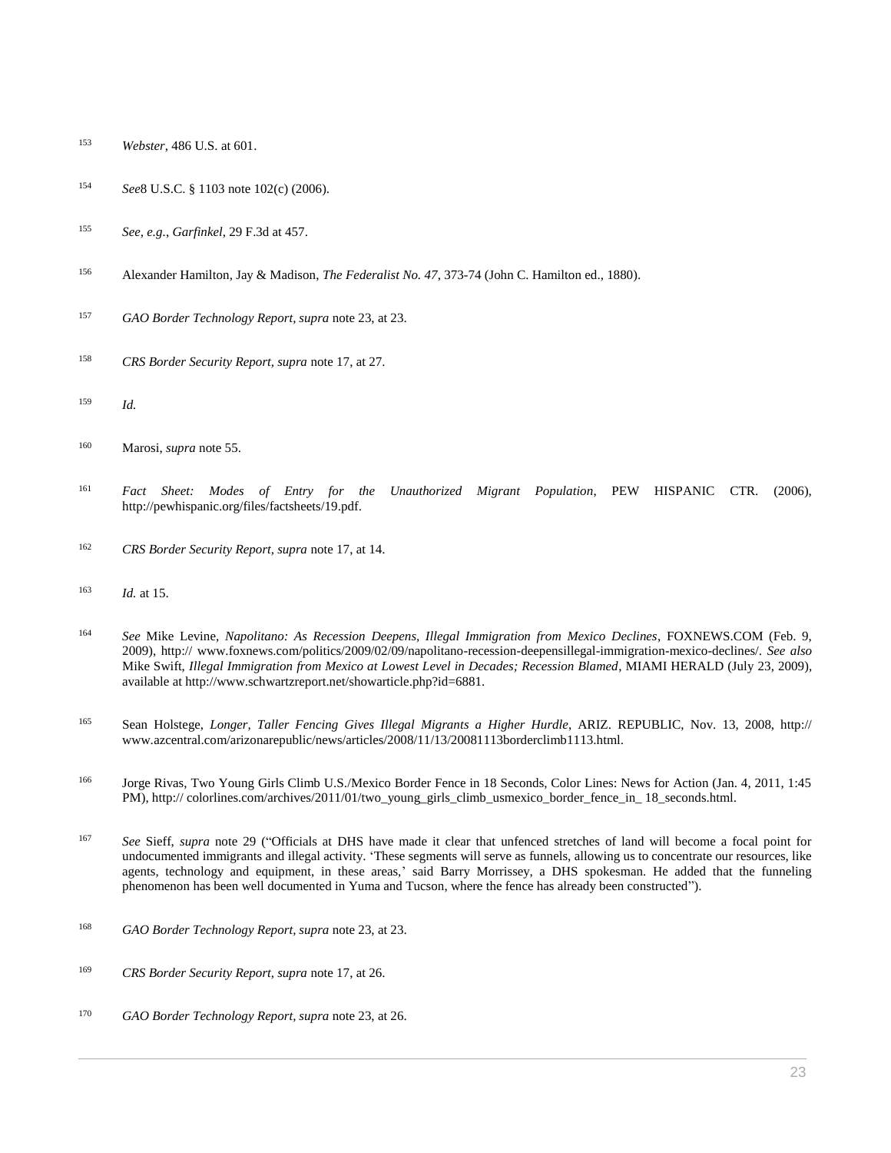- *Webster*[, 486 U.S. at 601.](http://www.westlaw.com/Link/Document/FullText?findType=Y&serNum=1988078090&pubNum=0000780&originatingDoc=I0ecc829f2df011e18b05fdf15589d8e8&refType=RP&fi=co_pp_sp_780_601&originationContext=document&vr=3.0&rs=cblt1.0&transitionType=DocumentItem&contextData=(sc.Search)#co_pp_sp_780_601)
- *See*[8 U.S.C. § 1103](http://www.westlaw.com/Link/Document/FullText?findType=L&pubNum=1000546&cite=8USCAS1103&originatingDoc=I0ecc829f2df011e18b05fdf15589d8e8&refType=LQ&originationContext=document&vr=3.0&rs=cblt1.0&transitionType=DocumentItem&contextData=(sc.Search)) note 102(c) (2006).
- *See, e.g.*, *Garfinkel*[, 29 F.3d at 457.](http://www.westlaw.com/Link/Document/FullText?findType=Y&serNum=1994148950&pubNum=0000506&originatingDoc=I0ecc829f2df011e18b05fdf15589d8e8&refType=RP&fi=co_pp_sp_506_457&originationContext=document&vr=3.0&rs=cblt1.0&transitionType=DocumentItem&contextData=(sc.Search)#co_pp_sp_506_457)
- Alexander Hamilton, Jay & Madison, *The Federalist No. 47*, 373-74 (John C. Hamilton ed., 1880).
- *GAO Border Technology Report, supra* note 23, at 23.
- *CRS Border Security Report, supra* note 17, at 27.
- *Id.*

- *Fact Sheet: Modes of Entry for the Unauthorized Migrant Population*, PEW HISPANIC CTR. (2006), http://pewhispanic.org/files/factsheets/19.pdf.
- *CRS Border Security Report, supra* note 17, at 14.
- *Id.* at 15.
- *See* Mike Levine, *Napolitano: As Recession Deepens, Illegal Immigration from Mexico Declines*, FOXNEWS.COM (Feb. 9, 2009), http:// www.foxnews.com/politics/2009/02/09/napolitano-recession-deepensillegal-immigration-mexico-declines/. *See also* Mike Swift, *Illegal Immigration from Mexico at Lowest Level in Decades; Recession Blamed*, MIAMI HERALD (July 23, 2009), available at http://www.schwartzreport.net/showarticle.php?id=6881.
- Sean Holstege, *Longer, Taller Fencing Gives Illegal Migrants a Higher Hurdle*, ARIZ. REPUBLIC, Nov. 13, 2008, http:// www.azcentral.com/arizonarepublic/news/articles/2008/11/13/20081113borderclimb1113.html.
- Jorge Rivas, Two Young Girls Climb U.S./Mexico Border Fence in 18 Seconds, Color Lines: News for Action (Jan. 4, 2011, 1:45 PM), http:// colorlines.com/archives/2011/01/two\_young\_girls\_climb\_usmexico\_border\_fence\_in\_ 18\_seconds.html.
- *See* Sieff, *supra* note 29 ("Officials at DHS have made it clear that unfenced stretches of land will become a focal point for undocumented immigrants and illegal activity. 'These segments will serve as funnels, allowing us to concentrate our resources, like agents, technology and equipment, in these areas,' said Barry Morrissey, a DHS spokesman. He added that the funneling phenomenon has been well documented in Yuma and Tucson, where the fence has already been constructed").
- *GAO Border Technology Report, supra* note 23, at 23.
- *CRS Border Security Report, supra* note 17, at 26.
- *GAO Border Technology Report, supra* note 23, at 26.

Marosi, *supra* note 55.